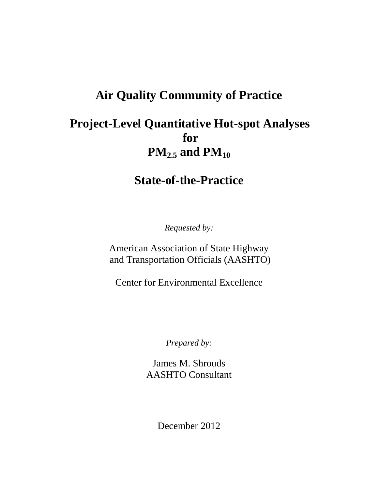# **Air Quality Community of Practice**

# **Project-Level Quantitative Hot-spot Analyses for PM2.5 and PM<sup>10</sup>**

# **State-of-the-Practice**

*Requested by:*

American Association of State Highway and Transportation Officials (AASHTO)

Center for Environmental Excellence

*Prepared by:*

James M. Shrouds AASHTO Consultant

December 2012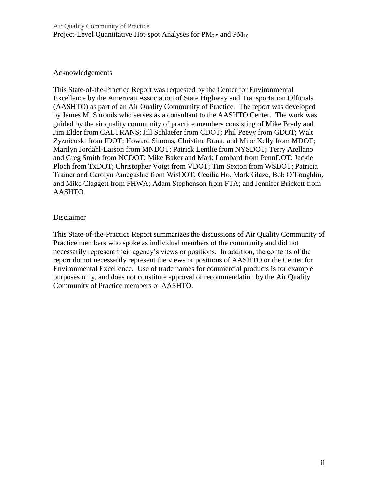### Acknowledgements

This State-of-the-Practice Report was requested by the Center for Environmental Excellence by the American Association of State Highway and Transportation Officials (AASHTO) as part of an Air Quality Community of Practice. The report was developed by James M. Shrouds who serves as a consultant to the AASHTO Center. The work was guided by the air quality community of practice members consisting of Mike Brady and Jim Elder from CALTRANS; Jill Schlaefer from CDOT; Phil Peevy from GDOT; Walt Zyznieuski from IDOT; Howard Simons, Christina Brant, and Mike Kelly from MDOT; Marilyn Jordahl-Larson from MNDOT; Patrick Lentlie from NYSDOT; Terry Arellano and Greg Smith from NCDOT; Mike Baker and Mark Lombard from PennDOT; Jackie Ploch from TxDOT; Christopher Voigt from VDOT; Tim Sexton from WSDOT; Patricia Trainer and Carolyn Amegashie from WisDOT; Cecilia Ho, Mark Glaze, Bob O'Loughlin, and Mike Claggett from FHWA; Adam Stephenson from FTA; and Jennifer Brickett from AASHTO.

### Disclaimer

This State-of-the-Practice Report summarizes the discussions of Air Quality Community of Practice members who spoke as individual members of the community and did not necessarily represent their agency's views or positions. In addition, the contents of the report do not necessarily represent the views or positions of AASHTO or the Center for Environmental Excellence. Use of trade names for commercial products is for example purposes only, and does not constitute approval or recommendation by the Air Quality Community of Practice members or AASHTO.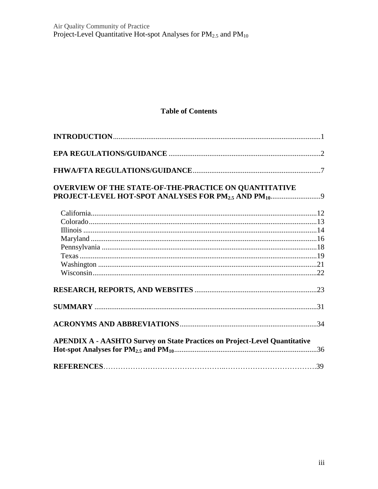### **Table of Contents**

| <b>OVERVIEW OF THE STATE-OF-THE-PRACTICE ON QUANTITATIVE</b>                      |  |
|-----------------------------------------------------------------------------------|--|
| PROJECT-LEVEL HOT-SPOT ANALYSES FOR PM <sub>2.5</sub> AND PM <sub>10</sub> 9      |  |
|                                                                                   |  |
|                                                                                   |  |
|                                                                                   |  |
|                                                                                   |  |
|                                                                                   |  |
|                                                                                   |  |
|                                                                                   |  |
|                                                                                   |  |
|                                                                                   |  |
|                                                                                   |  |
|                                                                                   |  |
| <b>APENDIX A - AASHTO Survey on State Practices on Project-Level Quantitative</b> |  |
|                                                                                   |  |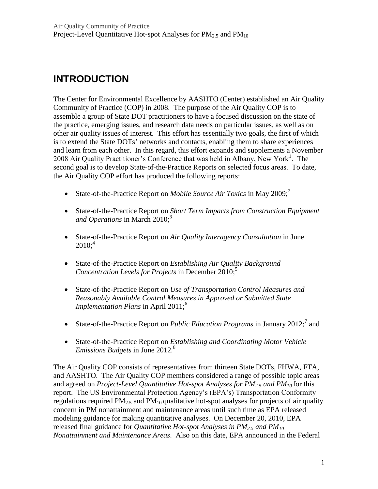# <span id="page-3-0"></span>**INTRODUCTION**

The Center for Environmental Excellence by AASHTO (Center) established an Air Quality Community of Practice (COP) in 2008. The purpose of the Air Quality COP is to assemble a group of State DOT practitioners to have a focused discussion on the state of the practice, emerging issues, and research data needs on particular issues, as well as on other air quality issues of interest. This effort has essentially two goals, the first of which is to extend the State DOTs' networks and contacts, enabling them to share experiences and learn from each other. In this regard, this effort expands and supplements a November 2008 Air Quality Practitioner's Conference that was held in Albany, New York<sup>1</sup>. The second goal is to develop State-of-the-Practice Reports on selected focus areas. To date, the Air Quality COP effort has produced the following reports:

- State-of-the-Practice Report on *Mobile Source Air Toxics* in May 2009;<sup>2</sup>
- State-of-the-Practice Report on *Short Term Impacts from Construction Equipment and Operations* in March 2010; 3
- State-of-the-Practice Report on *Air Quality Interagency Consultation* in June  $2010;^{4}$
- State-of-the-Practice Report on *Establishing Air Quality Background Concentration Levels for Projects* in December 2010; 5
- State-of-the-Practice Report on *Use of Transportation Control Measures and Reasonably Available Control Measures in Approved or Submitted State Implementation Plans* in April 2011; 6
- State-of-the-Practice Report on *Public Education Programs* in January 2012;<sup>7</sup> and
- State-of-the-Practice Report on *Establishing and Coordinating Motor Vehicle Emissions Budgets* in June 2012*.* 8

The Air Quality COP consists of representatives from thirteen State DOTs, FHWA, FTA, and AASHTO. The Air Quality COP members considered a range of possible topic areas and agreed on *Project-Level Quantitative Hot-spot Analyses for PM2.5 and PM<sup>10</sup>* for this report. The US Environmental Protection Agency's (EPA's) Transportation Conformity regulations required  $PM_{2.5}$  and  $PM_{10}$  qualitative hot-spot analyses for projects of air quality concern in PM nonattainment and maintenance areas until such time as EPA released modeling guidance for making quantitative analyses. On December 20, 2010, EPA released final guidance for *Quantitative Hot-spot Analyses in PM2.5 and PM<sup>10</sup> Nonattainment and Maintenance Areas*. Also on this date, EPA announced in the Federal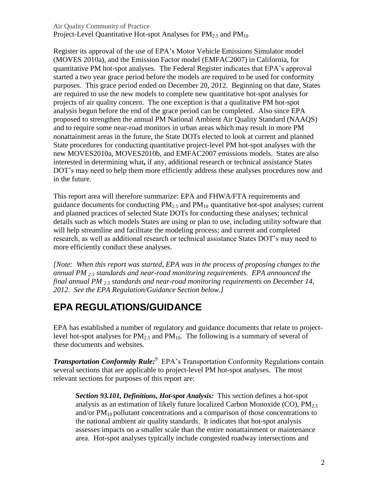Air Quality Community of Practice

Project-Level Quantitative Hot-spot Analyses for  $PM_{2.5}$  and  $PM_{10}$ 

Register its approval of the use of EPA's Motor Vehicle Emissions Simulator model (MOVES 2010a), and the Emission Factor model (EMFAC2007) in California, for quantitative PM hot-spot analyses. The Federal Register indicates that EPA's approval started a two year grace period before the models are required to be used for conformity purposes. This grace period ended on December 20, 2012. Beginning on that date, States are required to use the new models to complete new quantitative hot-spot analyses for projects of air quality concern. The one exception is that a qualitative PM hot-spot analysis begun before the end of the grace period can be completed. Also since EPA proposed to strengthen the annual PM National Ambient Air Quality Standard (NAAQS) and to require some near-road monitors in urban areas which may result in more PM nonattainment areas in the future, the State DOTs elected to look at current and planned State procedures for conducting quantitative project-level PM hot-spot analyses with the new MOVES2010a, MOVES2010b, and EMFAC2007 emissions models. States are also interested in determining what**,** if any, additional research or technical assistance States DOT's may need to help them more efficiently address these analyses procedures now and in the future.

This report area will therefore summarize: EPA and FHWA/FTA requirements and guidance documents for conducting  $PM<sub>2</sub>$  and  $PM<sub>10</sub>$  quantitative hot-spot analyses; current and planned practices of selected State DOTs for conducting these analyses; technical details such as which models States are using or plan to use, including utility software that will help streamline and facilitate the modeling process; and current and completed research, as well as additional research or technical assistance States DOT's may need to more efficiently conduct these analyses.

*[Note: When this report was started, EPA was in the process of proposing changes to the annual PM 2.5 standards and near-road monitoring requirements. EPA announced the final annual PM 2.5 standards and near-road monitoring requirements on December 14, 2012. See the EPA Regulation/Guidance Section below.]*

# <span id="page-4-0"></span>**EPA REGULATIONS/GUIDANCE**

EPA has established a number of regulatory and guidance documents that relate to projectlevel hot-spot analyses for PM2.5 and PM10.The following is a summary of several of these documents and websites.

*Transportation Conformity Rule:*<sup>9</sup> EPA's Transportation Conformity Regulations contain several sections that are applicable to project-level PM hot-spot analyses. The most relevant sections for purposes of this report are:

*Section 93.101, Definitions, Hot-spot Analysis:* This section defines a hot-spot analysis as an estimation of likely future localized Carbon Monoxide (CO),  $PM_2$ . and/or  $PM_{10}$  pollutant concentrations and a comparison of those concentrations to the national ambient air quality standards. It indicates that hot-spot analysis assesses impacts on a smaller scale than the entire nonattainment or maintenance area. Hot-spot analyses typically include congested roadway intersections and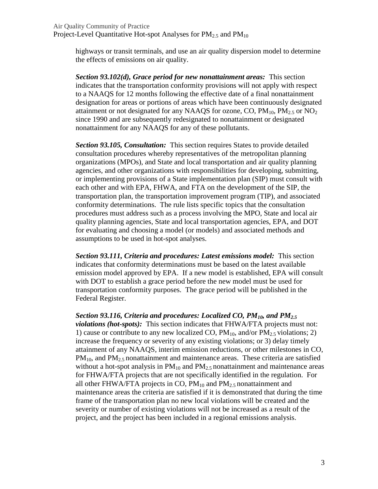highways or transit terminals, and use an air quality dispersion model to determine the effects of emissions on air quality.

*Section 93.102(d), Grace period for new nonattainment areas:* This section indicates that the transportation conformity provisions will not apply with respect to a NAAQS for 12 months following the effective date of a final nonattainment designation for areas or portions of areas which have been continuously designated attainment or not designated for any NAAOS for ozone, CO,  $PM_{10}$ ,  $PM_{2.5}$  or NO<sub>2</sub>. since 1990 and are subsequently redesignated to nonattainment or designated nonattainment for any NAAQS for any of these pollutants.

*Section 93.105, Consultation:* This section requires States to provide detailed consultation procedures whereby representatives of the metropolitan planning organizations (MPOs), and State and local transportation and air quality planning agencies, and other organizations with responsibilities for developing, submitting, or implementing provisions of a State implementation plan (SIP) must consult with each other and with EPA, FHWA, and FTA on the development of the SIP, the transportation plan, the transportation improvement program (TIP), and associated conformity determinations. The rule lists specific topics that the consultation procedures must address such as a process involving the MPO, State and local air quality planning agencies, State and local transportation agencies, EPA, and DOT for evaluating and choosing a model (or models) and associated methods and assumptions to be used in hot-spot analyses.

*Section 93.111, Criteria and procedures: Latest emissions model:* This section indicates that conformity determinations must be based on the latest available emission model approved by EPA. If a new model is established, EPA will consult with DOT to establish a grace period before the new model must be used for transportation conformity purposes. The grace period will be published in the Federal Register.

*Section 93.116, Criteria and procedures: Localized CO, PM10, and PM2.5 violations (hot-spots):* This section indicates that FHWA/FTA projects must not: 1) cause or contribute to any new localized CO,  $PM_{10}$ , and/or  $PM_{2.5}$  violations; 2) increase the frequency or severity of any existing violations; or 3) delay timely attainment of any NAAQS, interim emission reductions, or other milestones in CO,  $PM_{10}$ , and  $PM_2$ , nonattainment and maintenance areas. These criteria are satisfied without a hot-spot analysis in  $PM_{10}$  and  $PM_2$ , nonattainment and maintenance areas for FHWA/FTA projects that are not specifically identified in the regulation. For all other FHWA/FTA projects in CO,  $PM_{10}$  and  $PM_{2.5}$  nonattainment and maintenance areas the criteria are satisfied if it is demonstrated that during the time frame of the transportation plan no new local violations will be created and the severity or number of existing violations will not be increased as a result of the project, and the project has been included in a regional emissions analysis.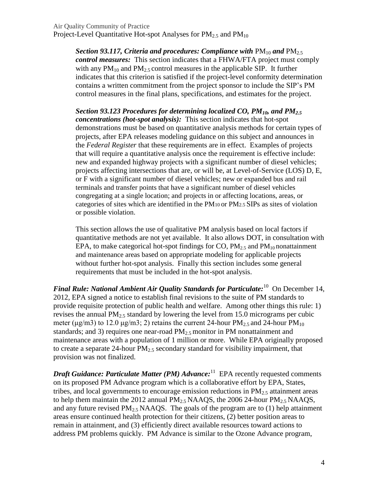*Section 93.117, Criteria and procedures: Compliance with*  $PM_{10}$  *and*  $PM_{2.5}$ *control measures:* This section indicates that a FHWA/FTA project must comply with any  $PM_{10}$  and  $PM_{2.5}$  control measures in the applicable SIP. It further indicates that this criterion is satisfied if the project-level conformity determination contains a written commitment from the project sponsor to include the SIP's PM control measures in the final plans, specifications, and estimates for the project.

*Section 93.123 Procedures for determining localized CO, PM10, and PM2.5 concentrations (hot-spot analysis):* This section indicates that hot-spot demonstrations must be based on quantitative analysis methods for certain types of projects, after EPA releases modeling guidance on this subject and announces in the *Federal Register* that these requirements are in effect. Examples of projects that will require a quantitative analysis once the requirement is effective include: new and expanded highway projects with a significant number of diesel vehicles; projects affecting intersections that are, or will be, at Level-of-Service (LOS) D, E, or F with a significant number of diesel vehicles; new or expanded bus and rail terminals and transfer points that have a significant number of diesel vehicles congregating at a single location; and projects in or affecting locations, areas, or categories of sites which are identified in the PM10 or PM2.5 SIPs as sites of violation or possible violation.

This section allows the use of qualitative PM analysis based on local factors if quantitative methods are not yet available. It also allows DOT, in consultation with EPA, to make categorical hot-spot findings for CO,  $PM_{2.5}$  and  $PM_{10}$  nonattainment and maintenance areas based on appropriate modeling for applicable projects without further hot-spot analysis. Finally this section includes some general requirements that must be included in the hot-spot analysis.

*Final Rule: National Ambient Air Quality Standards for Particulate:*<sup>10</sup> On December 14, 2012, EPA signed a notice to establish final revisions to the suite of PM standards to provide requisite protection of public health and welfare. Among other things this rule: 1) revises the annual  $PM_{2.5}$  standard by lowering the level from 15.0 micrograms per cubic meter ( $\mu$ g/m3) to 12.0  $\mu$ g/m3; 2) retains the current 24-hour PM<sub>2.5</sub> and 24-hour PM<sub>10</sub> standards; and 3) requires one near-road  $PM_{2.5}$  monitor in PM nonattainment and maintenance areas with a population of 1 million or more. While EPA originally proposed to create a separate 24-hour  $PM_{2.5}$  secondary standard for visibility impairment, that provision was not finalized.

*Draft Guidance: Particulate Matter (PM) Advance:*<sup>11</sup> EPA recently requested comments on its proposed PM Advance program which is a collaborative effort by EPA, States, tribes, and local governments to encourage emission reductions in  $PM_{2.5}$  attainment areas to help them maintain the 2012 annual  $PM_{2.5}$  NAAQS, the 2006 24-hour  $PM_{2.5}$  NAAQS, and any future revised  $PM_{2.5}$  NAAQS. The goals of the program are to (1) help attainment areas ensure continued health protection for their citizens, (2) better position areas to remain in attainment, and (3) efficiently direct available resources toward actions to address PM problems quickly. PM Advance is similar to the Ozone Advance program,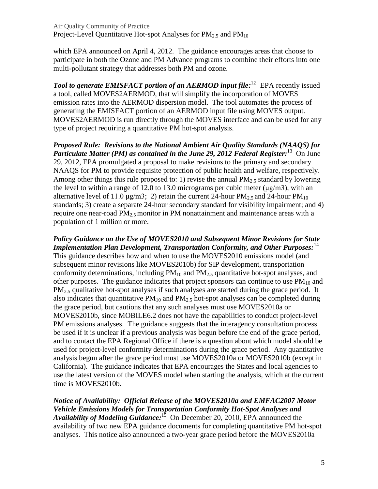which EPA announced on April 4, 2012. The guidance encourages areas that choose to participate in both the Ozone and PM Advance programs to combine their efforts into one multi-pollutant strategy that addresses both PM and ozone.

**Tool to generate EMISFACT portion of an AERMOD input file:<sup>12</sup> EPA recently issued** a tool, called MOVES2AERMOD, that will simplify the incorporation of MOVES emission rates into the AERMOD dispersion model. The tool automates the process of generating the EMISFACT portion of an AERMOD input file using MOVES output. MOVES2AERMOD is run directly through the MOVES interface and can be used for any type of project requiring a quantitative PM hot-spot analysis.

*Proposed Rule: Revisions to the National Ambient Air Quality Standards (NAAQS) for Particulate Matter (PM) as contained in the June 29, 2012 Federal Register:*<sup>13</sup> On June 29, 2012, EPA promulgated a proposal to make revisions to the primary and secondary NAAQS for PM to provide requisite protection of public health and welfare, respectively. Among other things this rule proposed to: 1) revise the annual  $PM<sub>2.5</sub>$  standard by lowering the level to within a range of 12.0 to 13.0 micrograms per cubic meter  $(\mu g/m3)$ , with an alternative level of 11.0  $\mu$ g/m3; 2) retain the current 24-hour PM<sub>2.5</sub> and 24-hour PM<sub>10</sub> standards; 3) create a separate 24-hour secondary standard for visibility impairment; and 4) require one near-road  $PM<sub>2</sub>$ <sub>5</sub> monitor in PM nonattainment and maintenance areas with a population of 1 million or more.

*Policy Guidance on the Use of MOVES2010 and Subsequent Minor Revisions for State Implementation Plan Development, Transportation Conformity, and Other Purposes:*<sup>14</sup> This guidance describes how and when to use the MOVES2010 emissions model (and subsequent minor revisions like MOVES2010b) for SIP development, transportation conformity determinations, including  $PM_{10}$  and  $PM_{2.5}$  quantitative hot-spot analyses, and other purposes. The guidance indicates that project sponsors can continue to use  $PM_{10}$  and PM<sub>2.5</sub> qualitative hot-spot analyses if such analyses are started during the grace period. It also indicates that quantitative  $PM_{10}$  and  $PM_{2.5}$  hot-spot analyses can be completed during the grace period, but cautions that any such analyses must use MOVES2010a or MOVES2010b, since MOBILE6.2 does not have the capabilities to conduct project-level PM emissions analyses. The guidance suggests that the interagency consultation process be used if it is unclear if a previous analysis was begun before the end of the grace period, and to contact the EPA Regional Office if there is a question about which model should be used for project-level conformity determinations during the grace period. Any quantitative analysis begun after the grace period must use MOVES2010a or MOVES2010b (except in California). The guidance indicates that EPA encourages the States and local agencies to use the latest version of the MOVES model when starting the analysis, which at the current time is MOVES2010b.

*Notice of Availability: Official Release of the MOVES2010a and EMFAC2007 Motor Vehicle Emissions Models for Transportation Conformity Hot-Spot Analyses and Availability of Modeling Guidance:* 15 On December 20, 2010, EPA announced the availability of two new EPA guidance documents for completing quantitative PM hot-spot analyses. This notice also announced a two-year grace period before the MOVES2010a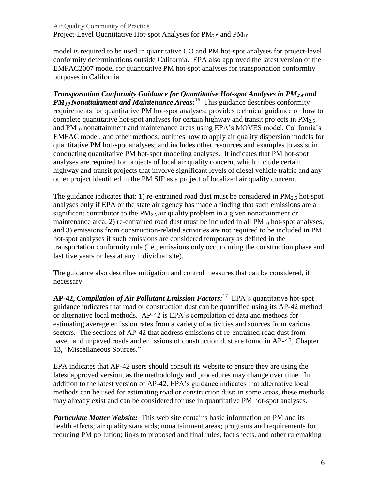model is required to be used in quantitative CO and PM hot-spot analyses for project-level conformity determinations outside California. EPA also approved the latest version of the EMFAC2007 model for quantitative PM hot-spot analyses for transportation conformity purposes in California.

*Transportation Conformity Guidance for Quantitative Hot-spot Analyses in PM***2.5** *and*   $PM_{10}$  *Nonattainment and Maintenance Areas*:<sup>16</sup> This guidance describes conformity requirements for quantitative PM hot-spot analyses; provides technical guidance on how to complete quantitative hot-spot analyses for certain highway and transit projects in  $PM_{2.5}$ and  $PM_{10}$  nonattainment and maintenance areas using EPA's MOVES model, California's EMFAC model, and other methods; outlines how to apply air quality dispersion models for quantitative PM hot-spot analyses; and includes other resources and examples to assist in conducting quantitative PM hot-spot modeling analyses. It indicates that PM hot-spot analyses are required for projects of local air quality concern, which include certain highway and transit projects that involve significant levels of diesel vehicle traffic and any other project identified in the PM SIP as a project of localized air quality concern.

The guidance indicates that: 1) re-entrained road dust must be considered in  $PM_{2.5}$  hot-spot analyses only if EPA or the state air agency has made a finding that such emissions are a significant contributor to the  $PM_2$  s air quality problem in a given nonattainment or maintenance area; 2) re-entrained road dust must be included in all  $PM_{10}$  hot-spot analyses; and 3) emissions from construction-related activities are not required to be included in PM hot-spot analyses if such emissions are considered temporary as defined in the transportation conformity rule (i.e., emissions only occur during the construction phase and last five years or less at any individual site).

The guidance also describes mitigation and control measures that can be considered, if necessary.

**AP-42,** *Compilation of Air Pollutant Emission Factors:*<sup>17</sup> EPA's quantitative hot-spot guidance indicates that road or construction dust can be quantified using its AP-42 method or alternative local methods. AP-42 is EPA's compilation of data and methods for estimating average emission rates from a variety of activities and sources from various sectors. The sections of AP-42 that address emissions of re-entrained road dust from paved and unpaved roads and emissions of construction dust are found in AP-42, Chapter 13, "Miscellaneous Sources."

EPA indicates that AP-42 users should consult its website to ensure they are using the latest approved version, as the methodology and procedures may change over time. In addition to the latest version of AP-42, EPA's guidance indicates that alternative local methods can be used for estimating road or construction dust; in some areas, these methods may already exist and can be considered for use in quantitative PM hot-spot analyses.

*Particulate Matter Website:* This web site contains basic information on PM and its health effects; air quality standards; nonattainment areas; programs and requirements for reducing PM pollution; links to proposed and final rules, fact sheets, and other rulemaking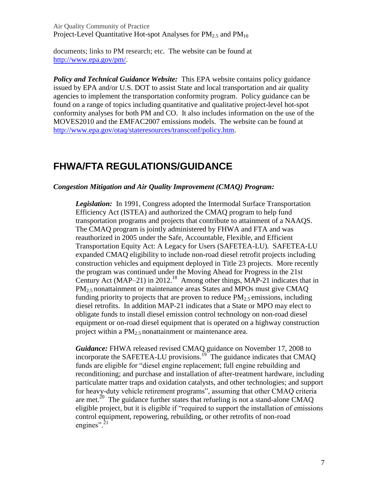documents; links to PM research; etc. The website can be found at [http://www.epa.gov/pm/.](http://www.epa.gov/pm/)

*Policy and Technical Guidance Website:* This EPA website contains policy guidance issued by EPA and/or U.S. DOT to assist State and local transportation and air quality agencies to implement the transportation conformity program. Policy guidance can be found on a range of topics including quantitative and qualitative project-level hot-spot conformity analyses for both PM and CO. It also includes information on the use of the MOVES2010 and the EMFAC2007 emissions models. The website can be found at [http://www.epa.gov/otaq/stateresources/transconf/policy.htm.](http://www.epa.gov/otaq/stateresources/transconf/policy.htm)

# <span id="page-9-0"></span>**FHWA/FTA REGULATIONS/GUIDANCE**

### *Congestion Mitigation and Air Quality Improvement (CMAQ) Program:*

*Legislation:* In 1991, Congress adopted the Intermodal Surface Transportation Efficiency Act (ISTEA) and authorized the CMAQ program to help fund transportation programs and projects that contribute to attainment of a NAAQS. The CMAQ program is jointly administered by FHWA and FTA and was reauthorized in 2005 under the Safe, Accountable, Flexible, and Efficient Transportation Equity Act: A Legacy for Users (SAFETEA-LU). SAFETEA-LU expanded CMAQ eligibility to include non-road diesel retrofit projects including construction vehicles and equipment deployed in Title 23 projects. More recently the program was continued under the Moving Ahead for Progress in the 21st Century Act (MAP–21) in 2012.<sup>18</sup> Among other things, MAP-21 indicates that in PM2.5 nonattainment or maintenance areas States and MPOs must give CMAQ funding priority to projects that are proven to reduce  $PM_{2.5}$  emissions, including diesel retrofits. In addition MAP-21 indicates that a State or MPO may elect to obligate funds to install diesel emission control technology on non-road diesel equipment or on-road diesel equipment that is operated on a highway construction project within a  $PM<sub>2.5</sub>$  nonattainment or maintenance area.

*Guidance:* FHWA released revised CMAQ guidance on November 17, 2008 to incorporate the SAFETEA-LU provisions.<sup>19</sup> The guidance indicates that CMAQ funds are eligible for "diesel engine replacement; full engine rebuilding and reconditioning; and purchase and installation of after-treatment hardware, including particulate matter traps and oxidation catalysts, and other technologies; and support for heavy-duty vehicle retirement programs", assuming that other CMAQ criteria are met.<sup>20</sup> The guidance further states that refueling is not a stand-alone CMAQ eligible project, but it is eligible if "required to support the installation of emissions control equipment, repowering, rebuilding, or other retrofits of non-road engines". $^{21}$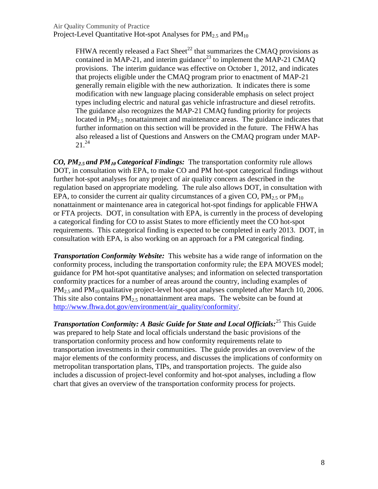Project-Level Quantitative Hot-spot Analyses for  $PM_{2.5}$  and  $PM_{10}$ 

FHWA recently released a Fact Sheet<sup>22</sup> that summarizes the CMAQ provisions as contained in MAP-21, and interim guidance<sup>23</sup> to implement the MAP-21 CMAO provisions. The interim guidance was effective on October 1, 2012, and indicates that projects eligible under the CMAQ program prior to enactment of MAP-21 generally remain eligible with the new authorization. It indicates there is some modification with new language placing considerable emphasis on select project types including electric and natural gas vehicle infrastructure and diesel retrofits. The guidance also recognizes the MAP-21 CMAQ funding priority for projects located in  $PM<sub>2.5</sub>$  nonattainment and maintenance areas. The guidance indicates that further information on this section will be provided in the future. The FHWA has also released a list of Questions and Answers on the CMAQ program under MAP- $21^{24}$ 

*CO, PM2.5 and PM***<sup>10</sup>** *Categorical Findings:* The transportation conformity rule allows DOT, in consultation with EPA, to make CO and PM hot-spot categorical findings without further hot-spot analyses for any project of air quality concern as described in the regulation based on appropriate modeling. The rule also allows DOT, in consultation with EPA, to consider the current air quality circumstances of a given CO,  $PM_{2.5}$  or  $PM_{10}$ nonattainment or maintenance area in categorical hot-spot findings for applicable FHWA or FTA projects. DOT, in consultation with EPA, is currently in the process of developing a categorical finding for CO to assist States to more efficiently meet the CO hot-spot requirements. This categorical finding is expected to be completed in early 2013. DOT, in consultation with EPA, is also working on an approach for a PM categorical finding.

*Transportation Conformity Website:* This website has a wide range of information on the conformity process, including the transportation conformity rule; the EPA MOVES model; guidance for PM hot-spot quantitative analyses; and information on selected transportation conformity practices for a number of areas around the country, including examples of PM<sub>2.5</sub> and PM<sub>10</sub> qualitative project-level hot-spot analyses completed after March 10, 2006. This site also contains  $PM_2$ , nonattainment area maps. The website can be found at [http://www.fhwa.dot.gov/environment/air\\_quality/conformity/.](http://www.fhwa.dot.gov/environment/air_quality/conformity/)

*Transportation Conformity: A Basic Guide for State and Local Officials:* <sup>25</sup> This Guide was prepared to help State and local officials understand the basic provisions of the transportation conformity process and how conformity requirements relate to transportation investments in their communities. The guide provides an overview of the major elements of the conformity process, and discusses the implications of conformity on metropolitan transportation plans, TIPs, and transportation projects. The guide also includes a discussion of project-level conformity and hot-spot analyses, including a flow chart that gives an overview of the transportation conformity process for projects.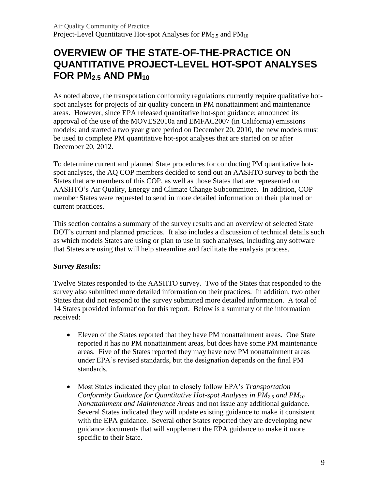# <span id="page-11-0"></span>**OVERVIEW OF THE STATE-OF-THE-PRACTICE ON QUANTITATIVE PROJECT-LEVEL HOT-SPOT ANALYSES FOR PM2.5 AND PM<sup>10</sup>**

As noted above, the transportation conformity regulations currently require qualitative hotspot analyses for projects of air quality concern in PM nonattainment and maintenance areas. However, since EPA released quantitative hot-spot guidance; announced its approval of the use of the MOVES2010a and EMFAC2007 (in California) emissions models; and started a two year grace period on December 20, 2010, the new models must be used to complete PM quantitative hot-spot analyses that are started on or after December 20, 2012.

To determine current and planned State procedures for conducting PM quantitative hotspot analyses, the AQ COP members decided to send out an AASHTO survey to both the States that are members of this COP, as well as those States that are represented on AASHTO's Air Quality, Energy and Climate Change Subcommittee. In addition, COP member States were requested to send in more detailed information on their planned or current practices.

This section contains a summary of the survey results and an overview of selected State DOT's current and planned practices. It also includes a discussion of technical details such as which models States are using or plan to use in such analyses, including any software that States are using that will help streamline and facilitate the analysis process.

### *Survey Results:*

Twelve States responded to the AASHTO survey. Two of the States that responded to the survey also submitted more detailed information on their practices. In addition, two other States that did not respond to the survey submitted more detailed information. A total of 14 States provided information for this report. Below is a summary of the information received:

- Eleven of the States reported that they have PM nonattainment areas. One State reported it has no PM nonattainment areas, but does have some PM maintenance areas. Five of the States reported they may have new PM nonattainment areas under EPA's revised standards, but the designation depends on the final PM standards.
- Most States indicated they plan to closely follow EPA's *Transportation Conformity Guidance for Quantitative Hot-spot Analyses in PM2.5 and PM<sup>10</sup> Nonattainment and Maintenance Areas* and not issue any additional guidance. Several States indicated they will update existing guidance to make it consistent with the EPA guidance. Several other States reported they are developing new guidance documents that will supplement the EPA guidance to make it more specific to their State.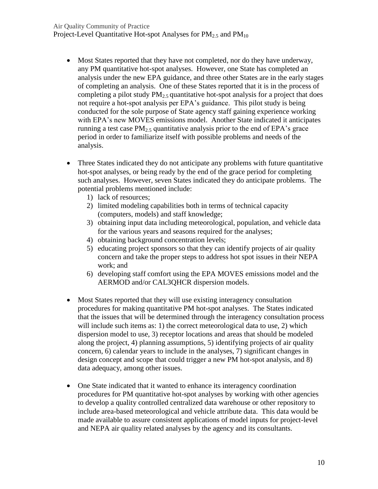- Most States reported that they have not completed, nor do they have underway, any PM quantitative hot-spot analyses. However, one State has completed an analysis under the new EPA guidance, and three other States are in the early stages of completing an analysis. One of these States reported that it is in the process of completing a pilot study  $PM<sub>2.5</sub>$  quantitative hot-spot analysis for a project that does not require a hot-spot analysis per EPA's guidance. This pilot study is being conducted for the sole purpose of State agency staff gaining experience working with EPA's new MOVES emissions model. Another State indicated it anticipates running a test case  $PM_2$ , quantitative analysis prior to the end of EPA's grace period in order to familiarize itself with possible problems and needs of the analysis.
- Three States indicated they do not anticipate any problems with future quantitative hot-spot analyses, or being ready by the end of the grace period for completing such analyses. However, seven States indicated they do anticipate problems. The potential problems mentioned include:
	- 1) lack of resources;
	- 2) limited modeling capabilities both in terms of technical capacity (computers, models) and staff knowledge;
	- 3) obtaining input data including meteorological, population, and vehicle data for the various years and seasons required for the analyses;
	- 4) obtaining background concentration levels;
	- 5) educating project sponsors so that they can identify projects of air quality concern and take the proper steps to address hot spot issues in their NEPA work; and
	- 6) developing staff comfort using the EPA MOVES emissions model and the AERMOD and/or CAL3QHCR dispersion models.
- Most States reported that they will use existing interagency consultation procedures for making quantitative PM hot-spot analyses. The States indicated that the issues that will be determined through the interagency consultation process will include such items as: 1) the correct meteorological data to use, 2) which dispersion model to use, 3) receptor locations and areas that should be modeled along the project, 4) planning assumptions, 5) identifying projects of air quality concern, 6) calendar years to include in the analyses, 7) significant changes in design concept and scope that could trigger a new PM hot-spot analysis, and 8) data adequacy, among other issues.
- One State indicated that it wanted to enhance its interagency coordination procedures for PM quantitative hot-spot analyses by working with other agencies to develop a quality controlled centralized data warehouse or other repository to include area-based meteorological and vehicle attribute data. This data would be made available to assure consistent applications of model inputs for project-level and NEPA air quality related analyses by the agency and its consultants.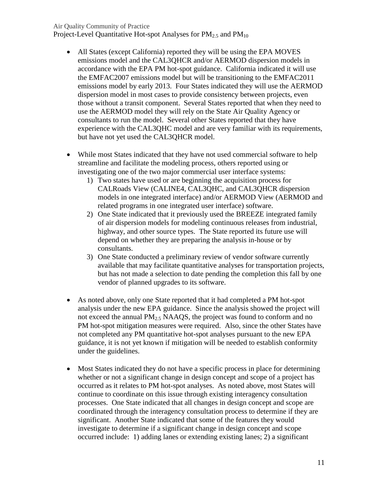#### Air Quality Community of Practice

Project-Level Quantitative Hot-spot Analyses for  $PM_{2.5}$  and  $PM_{10}$ 

- All States (except California) reported they will be using the EPA MOVES emissions model and the CAL3QHCR and/or AERMOD dispersion models in accordance with the EPA PM hot-spot guidance. California indicated it will use the EMFAC2007 emissions model but will be transitioning to the EMFAC2011 emissions model by early 2013. Four States indicated they will use the AERMOD dispersion model in most cases to provide consistency between projects, even those without a transit component. Several States reported that when they need to use the AERMOD model they will rely on the State Air Quality Agency or consultants to run the model. Several other States reported that they have experience with the CAL3QHC model and are very familiar with its requirements, but have not yet used the CAL3QHCR model.
- While most States indicated that they have not used commercial software to help streamline and facilitate the modeling process, others reported using or investigating one of the two major commercial user interface systems:
	- 1) Two states have used or are beginning the acquisition process for CALRoads View (CALINE4, CAL3QHC, and CAL3QHCR dispersion models in one integrated interface) and/or AERMOD View (AERMOD and related programs in one integrated user interface) software.
	- 2) One State indicated that it previously used the BREEZE integrated family of air dispersion models for modeling continuous releases from industrial, highway, and other source types. The State reported its future use will depend on whether they are preparing the analysis in-house or by consultants.
	- 3) One State conducted a preliminary review of vendor software currently available that may facilitate quantitative analyses for transportation projects, but has not made a selection to date pending the completion this fall by one vendor of planned upgrades to its software.
- As noted above, only one State reported that it had completed a PM hot-spot analysis under the new EPA guidance. Since the analysis showed the project will not exceed the annual  $PM<sub>2.5</sub> NAAQS$ , the project was found to conform and no PM hot-spot mitigation measures were required. Also, since the other States have not completed any PM quantitative hot-spot analyses pursuant to the new EPA guidance, it is not yet known if mitigation will be needed to establish conformity under the guidelines.
- Most States indicated they do not have a specific process in place for determining whether or not a significant change in design concept and scope of a project has occurred as it relates to PM hot-spot analyses. As noted above, most States will continue to coordinate on this issue through existing interagency consultation processes. One State indicated that all changes in design concept and scope are coordinated through the interagency consultation process to determine if they are significant. Another State indicated that some of the features they would investigate to determine if a significant change in design concept and scope occurred include: 1) adding lanes or extending existing lanes; 2) a significant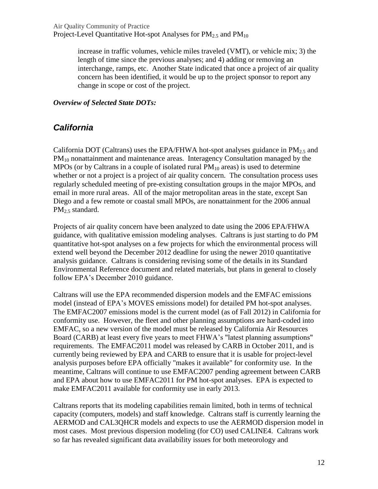increase in traffic volumes, vehicle miles traveled (VMT), or vehicle mix; 3) the length of time since the previous analyses; and 4) adding or removing an interchange, ramps, etc. Another State indicated that once a project of air quality concern has been identified, it would be up to the project sponsor to report any change in scope or cost of the project.

*Overview of Selected State DOTs:*

### <span id="page-14-0"></span>*California*

California DOT (Caltrans) uses the EPA/FHWA hot-spot analyses guidance in  $PM_{2.5}$  and  $PM_{10}$  nonattainment and maintenance areas. Interagency Consultation managed by the MPOs (or by Caltrans in a couple of isolated rural  $PM_{10}$  areas) is used to determine whether or not a project is a project of air quality concern. The consultation process uses regularly scheduled meeting of pre-existing consultation groups in the major MPOs, and email in more rural areas. All of the major metropolitan areas in the state, except San Diego and a few remote or coastal small MPOs, are nonattainment for the 2006 annual PM<sub>2.5</sub> standard.

Projects of air quality concern have been analyzed to date using the 2006 EPA/FHWA guidance, with qualitative emission modeling analyses. Caltrans is just starting to do PM quantitative hot-spot analyses on a few projects for which the environmental process will extend well beyond the December 2012 deadline for using the newer 2010 quantitative analysis guidance. Caltrans is considering revising some of the details in its Standard Environmental Reference document and related materials, but plans in general to closely follow EPA's December 2010 guidance.

Caltrans will use the EPA recommended dispersion models and the EMFAC emissions model (instead of EPA's MOVES emissions model) for detailed PM hot-spot analyses. The EMFAC2007 emissions model is the current model (as of Fall 2012) in California for conformity use. However, the fleet and other planning assumptions are hard-coded into EMFAC, so a new version of the model must be released by California Air Resources Board (CARB) at least every five years to meet FHWA's "latest planning assumptions" requirements. The EMFAC2011 model was released by CARB in October 2011, and is currently being reviewed by EPA and CARB to ensure that it is usable for project-level analysis purposes before EPA officially "makes it available" for conformity use. In the meantime, Caltrans will continue to use EMFAC2007 pending agreement between CARB and EPA about how to use EMFAC2011 for PM hot-spot analyses. EPA is expected to make EMFAC2011 available for conformity use in early 2013.

Caltrans reports that its modeling capabilities remain limited, both in terms of technical capacity (computers, models) and staff knowledge. Caltrans staff is currently learning the AERMOD and CAL3QHCR models and expects to use the AERMOD dispersion model in most cases. Most previous dispersion modeling (for CO) used CALINE4. Caltrans work so far has revealed significant data availability issues for both meteorology and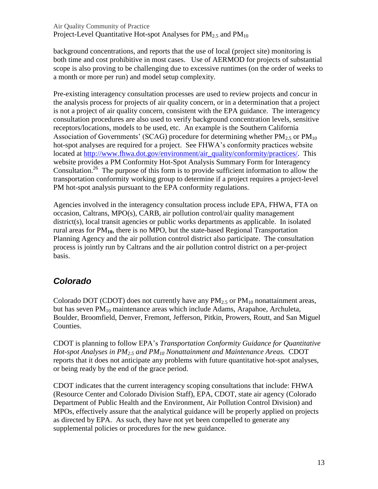background concentrations, and reports that the use of local (project site) monitoring is both time and cost prohibitive in most cases. Use of AERMOD for projects of substantial scope is also proving to be challenging due to excessive runtimes (on the order of weeks to a month or more per run) and model setup complexity.

Pre-existing interagency consultation processes are used to review projects and concur in the analysis process for projects of air quality concern, or in a determination that a project is not a project of air quality concern, consistent with the EPA guidance. The interagency consultation procedures are also used to verify background concentration levels, sensitive receptors/locations, models to be used, etc.An example is the Southern California Association of Governments' (SCAG) procedure for determining whether  $PM_{2.5}$  or  $PM_{10}$ hot-spot analyses are required for a project. See FHWA's conformity practices website located at [http://www.fhwa.dot.gov/environment/air\\_quality/conformity/practices/.](http://www.fhwa.dot.gov/environment/air_quality/conformity/practices/) This website provides a PM Conformity Hot-Spot Analysis Summary Form for Interagency Consultation.<sup>26</sup> The purpose of this form is to provide sufficient information to allow the transportation conformity working group to determine if a project requires a project-level PM hot-spot analysis pursuant to the EPA conformity regulations.

Agencies involved in the interagency consultation process include EPA, FHWA, FTA on occasion, Caltrans, MPO(s), CARB, air pollution control/air quality management district(s), local transit agencies or public works departments as applicable. In isolated rural areas for PM**10**, there is no MPO, but the state-based Regional Transportation Planning Agency and the air pollution control district also participate. The consultation process is jointly run by Caltrans and the air pollution control district on a per-project basis.

### <span id="page-15-0"></span>*Colorado*

Colorado DOT (CDOT) does not currently have any  $PM_{2.5}$  or  $PM_{10}$  nonattainment areas, but has seven  $PM_{10}$  maintenance areas which include Adams, Arapahoe, Archuleta, Boulder, Broomfield, Denver, Fremont, Jefferson, Pitkin, Prowers, Routt, and San Miguel Counties.

CDOT is planning to follow EPA's *Transportation Conformity Guidance for Quantitative Hot-spot Analyses in PM2.5 and PM<sup>10</sup> Nonattainment and Maintenance Areas.* CDOT reports that it does not anticipate any problems with future quantitative hot-spot analyses, or being ready by the end of the grace period.

CDOT indicates that the current interagency scoping consultations that include: FHWA (Resource Center and Colorado Division Staff), EPA, CDOT, state air agency (Colorado Department of Public Health and the Environment, Air Pollution Control Division) and MPOs, effectively assure that the analytical guidance will be properly applied on projects as directed by EPA. As such, they have not yet been compelled to generate any supplemental policies or procedures for the new guidance.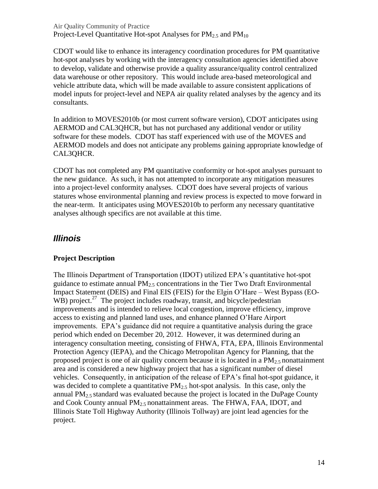CDOT would like to enhance its interagency coordination procedures for PM quantitative hot-spot analyses by working with the interagency consultation agencies identified above to develop, validate and otherwise provide a quality assurance/quality control centralized data warehouse or other repository. This would include area-based meteorological and vehicle attribute data, which will be made available to assure consistent applications of model inputs for project-level and NEPA air quality related analyses by the agency and its consultants.

In addition to MOVES2010b (or most current software version), CDOT anticipates using AERMOD and CAL3QHCR, but has not purchased any additional vendor or utility software for these models. CDOT has staff experienced with use of the MOVES and AERMOD models and does not anticipate any problems gaining appropriate knowledge of CAL3QHCR.

CDOT has not completed any PM quantitative conformity or hot-spot analyses pursuant to the new guidance. As such, it has not attempted to incorporate any mitigation measures into a project-level conformity analyses. CDOT does have several projects of various statures whose environmental planning and review process is expected to move forward in the near-term. It anticipates using MOVES2010b to perform any necessary quantitative analyses although specifics are not available at this time.

### <span id="page-16-0"></span>*Illinois*

### **Project Description**

The Illinois Department of Transportation (IDOT) utilized EPA's quantitative hot-spot guidance to estimate annual  $PM<sub>2.5</sub>$  concentrations in the Tier Two Draft Environmental Impact Statement (DEIS) and Final EIS (FEIS) for the Elgin O'Hare – West Bypass (EO- $WB$ ) project.<sup>27</sup> The project includes roadway, transit, and bicycle/pedestrian improvements and is intended to relieve local congestion, improve efficiency, improve access to existing and planned land uses, and enhance planned O'Hare Airport improvements. EPA's guidance did not require a quantitative analysis during the grace period which ended on December 20, 2012. However, it was determined during an interagency consultation meeting, consisting of FHWA, FTA, EPA, Illinois Environmental Protection Agency (IEPA), and the Chicago Metropolitan Agency for Planning, that the proposed project is one of air quality concern because it is located in a  $PM_{2.5}$  nonattainment area and is considered a new highway project that has a significant number of diesel vehicles. Consequently, in anticipation of the release of EPA's final hot-spot guidance, it was decided to complete a quantitative  $PM_{2.5}$  hot-spot analysis. In this case, only the annual  $PM_2$ <sub>5</sub> standard was evaluated because the project is located in the DuPage County and Cook County annual PM2.5 nonattainment areas. The FHWA, FAA, IDOT, and Illinois State Toll Highway Authority (Illinois Tollway) are joint lead agencies for the project.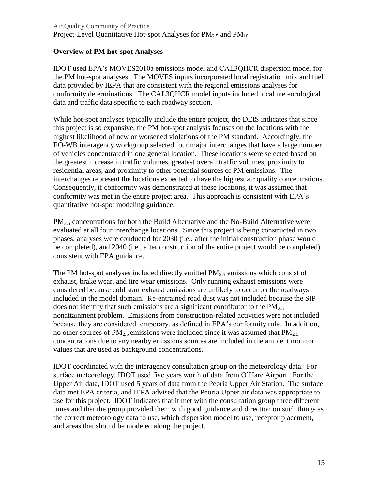### **Overview of PM hot-spot Analyses**

IDOT used EPA's MOVES2010a emissions model and CAL3QHCR dispersion model for the PM hot-spot analyses. The MOVES inputs incorporated local registration mix and fuel data provided by IEPA that are consistent with the regional emissions analyses for conformity determinations. The CAL3QHCR model inputs included local meteorological data and traffic data specific to each roadway section.

While hot-spot analyses typically include the entire project, the DEIS indicates that since this project is so expansive, the PM hot-spot analysis focuses on the locations with the highest likelihood of new or worsened violations of the PM standard. Accordingly, the EO-WB interagency workgroup selected four major interchanges that have a large number of vehicles concentrated in one general location. These locations were selected based on the greatest increase in traffic volumes, greatest overall traffic volumes, proximity to residential areas, and proximity to other potential sources of PM emissions. The interchanges represent the locations expected to have the highest air quality concentrations. Consequently, if conformity was demonstrated at these locations, it was assumed that conformity was met in the entire project area. This approach is consistent with EPA's quantitative hot-spot modeling guidance.

PM<sub>2.5</sub> concentrations for both the Build Alternative and the No-Build Alternative were evaluated at all four interchange locations. Since this project is being constructed in two phases, analyses were conducted for 2030 (i.e., after the initial construction phase would be completed), and 2040 (i.e., after construction of the entire project would be completed) consistent with EPA guidance.

The PM hot-spot analyses included directly emitted  $PM_{2.5}$  emissions which consist of exhaust, brake wear, and tire wear emissions. Only running exhaust emissions were considered because cold start exhaust emissions are unlikely to occur on the roadways included in the model domain. Re-entrained road dust was not included because the SIP does not identify that such emissions are a significant contributor to the  $PM<sub>2.5</sub>$ nonattainment problem. Emissions from construction-related activities were not included because they are considered temporary, as defined in EPA's conformity rule. In addition, no other sources of PM<sub>2.5</sub> emissions were included since it was assumed that PM<sub>2.5</sub> concentrations due to any nearby emissions sources are included in the ambient monitor values that are used as background concentrations.

IDOT coordinated with the interagency consultation group on the meteorology data. For surface meteorology, IDOT used five years worth of data from O'Hare Airport. For the Upper Air data, IDOT used 5 years of data from the Peoria Upper Air Station. The surface data met EPA criteria, and IEPA advised that the Peoria Upper air data was appropriate to use for this project. IDOT indicates that it met with the consultation group three different times and that the group provided them with good guidance and direction on such things as the correct meteorology data to use, which dispersion model to use, receptor placement, and areas that should be modeled along the project.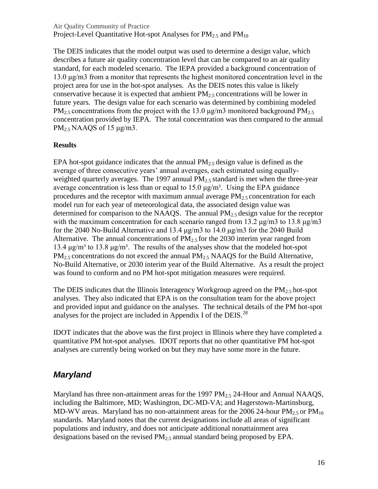The DEIS indicates that the model output was used to determine a design value, which describes a future air quality concentration level that can be compared to an air quality standard, for each modeled scenario. The IEPA provided a background concentration of 13.0 μg/m3 from a monitor that represents the highest monitored concentration level in the project area for use in the hot-spot analyses. As the DEIS notes this value is likely conservative because it is expected that ambient  $PM_2$ , concentrations will be lower in future years. The design value for each scenario was determined by combining modeled PM<sub>2.5</sub> concentrations from the project with the 13.0  $\mu$ g/m3 monitored background PM<sub>2.5</sub> concentration provided by IEPA. The total concentration was then compared to the annual  $PM_2$ <sub>5</sub> NAAQS of 15  $\mu$ g/m3.

### **Results**

EPA hot-spot guidance indicates that the annual  $PM<sub>2.5</sub>$  design value is defined as the average of three consecutive years' annual averages, each estimated using equallyweighted quarterly averages. The 1997 annual  $PM<sub>2.5</sub>$  standard is met when the three-year average concentration is less than or equal to  $15.0 \mu g/m<sup>3</sup>$ . Using the EPA guidance procedures and the receptor with maximum annual average  $PM_{2.5}$  concentration for each model run for each year of meteorological data, the associated design value was determined for comparison to the NAAQS. The annual  $PM_{2.5}$  design value for the receptor with the maximum concentration for each scenario ranged from 13.2  $\mu$ g/m3 to 13.8  $\mu$ g/m3 for the 2040 No-Build Alternative and 13.4 μg/m3 to 14.0 μg/m3 for the 2040 Build Alternative. The annual concentrations of  $PM_{2.5}$  for the 2030 interim year ranged from 13.4  $\mu$ g/m<sup>3</sup> to 13.8  $\mu$ g/m<sup>3</sup>. The results of the analyses show that the modeled hot-spot PM2.5 concentrations do not exceed the annual PM2.5 NAAQS for the Build Alternative, No-Build Alternative, or 2030 interim year of the Build Alternative. As a result the project was found to conform and no PM hot-spot mitigation measures were required.

The DEIS indicates that the Illinois Interagency Workgroup agreed on the  $PM<sub>2.5</sub>$  hot-spot analyses. They also indicated that EPA is on the consultation team for the above project and provided input and guidance on the analyses. The technical details of the PM hot-spot analyses for the project are included in Appendix I of the DEIS.<sup>28</sup>

IDOT indicates that the above was the first project in Illinois where they have completed a quantitative PM hot-spot analyses. IDOT reports that no other quantitative PM hot-spot analyses are currently being worked on but they may have some more in the future.

### <span id="page-18-0"></span>*Maryland*

Maryland has three non-attainment areas for the 1997  $PM<sub>2.5</sub>$  24-Hour and Annual NAAQS, including the Baltimore, MD; Washington, DC-MD-VA; and Hagerstown-Martinsburg, MD-WV areas. Maryland has no non-attainment areas for the 2006 24-hour  $PM_{2.5}$  or  $PM_{10}$ standards. Maryland notes that the current designations include all areas of significant populations and industry, and does not anticipate additional nonattainment area designations based on the revised PM2.5 annual standard being proposed by EPA.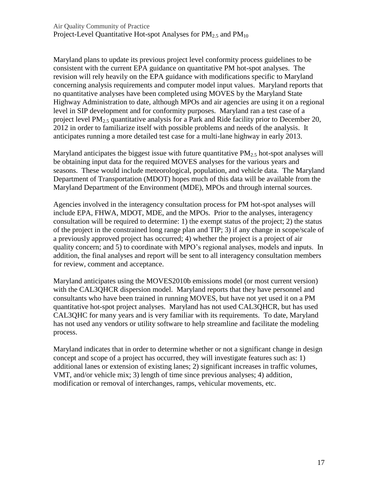Maryland plans to update its previous project level conformity process guidelines to be consistent with the current EPA guidance on quantitative PM hot-spot analyses. The revision will rely heavily on the EPA guidance with modifications specific to Maryland concerning analysis requirements and computer model input values. Maryland reports that no quantitative analyses have been completed using MOVES by the Maryland State Highway Administration to date, although MPOs and air agencies are using it on a regional level in SIP development and for conformity purposes. Maryland ran a test case of a project level  $PM_{2.5}$  quantitative analysis for a Park and Ride facility prior to December 20, 2012 in order to familiarize itself with possible problems and needs of the analysis. It anticipates running a more detailed test case for a multi-lane highway in early 2013.

Maryland anticipates the biggest issue with future quantitative  $PM<sub>2.5</sub>$  hot-spot analyses will be obtaining input data for the required MOVES analyses for the various years and seasons. These would include meteorological, population, and vehicle data. The Maryland Department of Transportation (MDOT) hopes much of this data will be available from the Maryland Department of the Environment (MDE), MPOs and through internal sources.

Agencies involved in the interagency consultation process for PM hot-spot analyses will include EPA, FHWA, MDOT, MDE, and the MPOs. Prior to the analyses, interagency consultation will be required to determine: 1) the exempt status of the project; 2) the status of the project in the constrained long range plan and TIP; 3) if any change in scope/scale of a previously approved project has occurred; 4) whether the project is a project of air quality concern; and 5) to coordinate with MPO's regional analyses, models and inputs. In addition, the final analyses and report will be sent to all interagency consultation members for review, comment and acceptance.

Maryland anticipates using the MOVES2010b emissions model (or most current version) with the CAL3QHCR dispersion model. Maryland reports that they have personnel and consultants who have been trained in running MOVES, but have not yet used it on a PM quantitative hot-spot project analyses. Maryland has not used CAL3QHCR, but has used CAL3QHC for many years and is very familiar with its requirements. To date, Maryland has not used any vendors or utility software to help streamline and facilitate the modeling process.

Maryland indicates that in order to determine whether or not a significant change in design concept and scope of a project has occurred, they will investigate features such as: 1) additional lanes or extension of existing lanes; 2) significant increases in traffic volumes, VMT, and/or vehicle mix; 3) length of time since previous analyses; 4) addition, modification or removal of interchanges, ramps, vehicular movements, etc.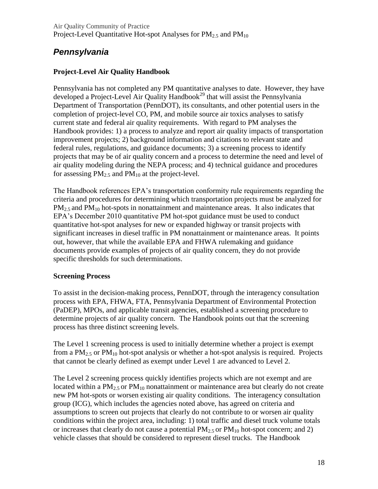### <span id="page-20-0"></span>*Pennsylvania*

### **Project-Level Air Quality Handbook**

Pennsylvania has not completed any PM quantitative analyses to date. However, they have developed a Project-Level Air Quality Handbook<sup>29</sup> that will assist the Pennsylvania Department of Transportation (PennDOT), its consultants, and other potential users in the completion of project-level CO, PM, and mobile source air toxics analyses to satisfy current state and federal air quality requirements. With regard to PM analyses the Handbook provides: 1) a process to analyze and report air quality impacts of transportation improvement projects; 2) background information and citations to relevant state and federal rules, regulations, and guidance documents; 3) a screening process to identify projects that may be of air quality concern and a process to determine the need and level of air quality modeling during the NEPA process; and 4) technical guidance and procedures for assessing  $PM_{2.5}$  and  $PM_{10}$  at the project-level.

The Handbook references EPA's transportation conformity rule requirements regarding the criteria and procedures for determining which transportation projects must be analyzed for  $PM<sub>2</sub>$  s and PM<sub>10</sub> hot-spots in nonattainment and maintenance areas. It also indicates that EPA's December 2010 quantitative PM hot-spot guidance must be used to conduct quantitative hot-spot analyses for new or expanded highway or transit projects with significant increases in diesel traffic in PM nonattainment or maintenance areas. It points out, however, that while the available EPA and FHWA rulemaking and guidance documents provide examples of projects of air quality concern, they do not provide specific thresholds for such determinations.

### **Screening Process**

To assist in the decision-making process, PennDOT, through the interagency consultation process with EPA, FHWA, FTA, Pennsylvania Department of Environmental Protection (PaDEP), MPOs, and applicable transit agencies, established a screening procedure to determine projects of air quality concern. The Handbook points out that the screening process has three distinct screening levels.

The Level 1 screening process is used to initially determine whether a project is exempt from a  $PM<sub>2.5</sub>$  or  $PM<sub>10</sub>$  hot-spot analysis or whether a hot-spot analysis is required. Projects that cannot be clearly defined as exempt under Level 1 are advanced to Level 2.

The Level 2 screening process quickly identifies projects which are not exempt and are located within a  $PM_{2.5}$  or  $PM_{10}$  nonattainment or maintenance area but clearly do not create new PM hot-spots or worsen existing air quality conditions. The interagency consultation group (ICG), which includes the agencies noted above, has agreed on criteria and assumptions to screen out projects that clearly do not contribute to or worsen air quality conditions within the project area, including: 1) total traffic and diesel truck volume totals or increases that clearly do not cause a potential  $PM<sub>2.5</sub>$  or  $PM<sub>10</sub>$  hot-spot concern; and 2) vehicle classes that should be considered to represent diesel trucks. The Handbook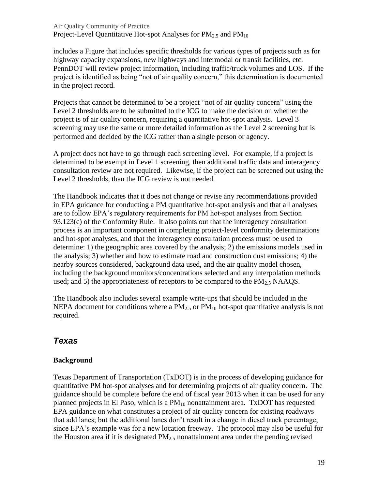includes a Figure that includes specific thresholds for various types of projects such as for highway capacity expansions, new highways and intermodal or transit facilities, etc. PennDOT will review project information, including traffic/truck volumes and LOS. If the project is identified as being "not of air quality concern," this determination is documented in the project record.

Projects that cannot be determined to be a project "not of air quality concern" using the Level 2 thresholds are to be submitted to the ICG to make the decision on whether the project is of air quality concern, requiring a quantitative hot-spot analysis. Level 3 screening may use the same or more detailed information as the Level 2 screening but is performed and decided by the ICG rather than a single person or agency.

A project does not have to go through each screening level. For example, if a project is determined to be exempt in Level 1 screening, then additional traffic data and interagency consultation review are not required. Likewise, if the project can be screened out using the Level 2 thresholds, than the ICG review is not needed.

The Handbook indicates that it does not change or revise any recommendations provided in EPA guidance for conducting a PM quantitative hot-spot analysis and that all analyses are to follow EPA's regulatory requirements for PM hot-spot analyses from Section 93.123(c) of the Conformity Rule. It also points out that the interagency consultation process is an important component in completing project-level conformity determinations and hot-spot analyses, and that the interagency consultation process must be used to determine: 1) the geographic area covered by the analysis; 2) the emissions models used in the analysis; 3) whether and how to estimate road and construction dust emissions; 4) the nearby sources considered, background data used, and the air quality model chosen, including the background monitors/concentrations selected and any interpolation methods used; and 5) the appropriateness of receptors to be compared to the  $PM_{2.5}$  NAAQS.

The Handbook also includes several example write-ups that should be included in the NEPA document for conditions where a  $PM_{2.5}$  or  $PM_{10}$  hot-spot quantitative analysis is not required.

### <span id="page-21-0"></span>*Texas*

### **Background**

Texas Department of Transportation (TxDOT) is in the process of developing guidance for quantitative PM hot-spot analyses and for determining projects of air quality concern. The guidance should be complete before the end of fiscal year 2013 when it can be used for any planned projects in El Paso, which is a  $PM_{10}$  nonattainment area. TxDOT has requested EPA guidance on what constitutes a project of air quality concern for existing roadways that add lanes; but the additional lanes don't result in a change in diesel truck percentage; since EPA's example was for a new location freeway. The protocol may also be useful for the Houston area if it is designated  $PM_{2.5}$  nonattainment area under the pending revised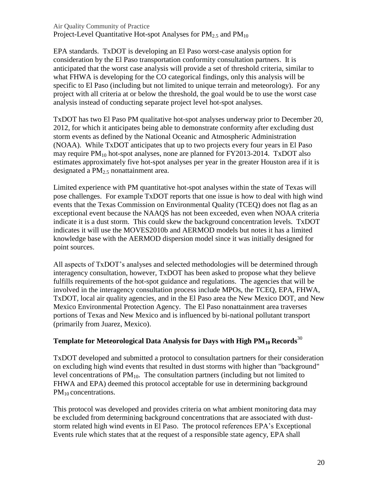EPA standards. TxDOT is developing an El Paso worst-case analysis option for consideration by the El Paso transportation conformity consultation partners.It is anticipated that the worst case analysis will provide a set of threshold criteria, similar to what FHWA is developing for the CO categorical findings, only this analysis will be specific to El Paso (including but not limited to unique terrain and meteorology). For any project with all criteria at or below the threshold, the goal would be to use the worst case analysis instead of conducting separate project level hot-spot analyses.

TxDOT has two El Paso PM qualitative hot-spot analyses underway prior to December 20, 2012, for which it anticipates being able to demonstrate conformity after excluding dust storm events as defined by the National Oceanic and Atmospheric Administration (NOAA). While TxDOT anticipates that up to two projects every four years in El Paso may require  $PM_{10}$  hot-spot analyses, none are planned for FY2013-2014. TxDOT also estimates approximately five hot-spot analyses per year in the greater Houston area if it is designated a  $PM<sub>2.5</sub>$  nonattainment area.

Limited experience with PM quantitative hot-spot analyses within the state of Texas will pose challenges. For example TxDOT reports that one issue is how to deal with high wind events that the Texas Commission on Environmental Quality (TCEQ) does not flag as an exceptional event because the NAAQS has not been exceeded, even when NOAA criteria indicate it is a dust storm. This could skew the background concentration levels. TxDOT indicates it will use the MOVES2010b and AERMOD models but notes it has a limited knowledge base with the AERMOD dispersion model since it was initially designed for point sources.

All aspects of TxDOT's analyses and selected methodologies will be determined through interagency consultation, however, TxDOT has been asked to propose what they believe fulfills requirements of the hot-spot guidance and regulations. The agencies that will be involved in the interagency consultation process include MPOs, the TCEQ, EPA, FHWA, TxDOT, local air quality agencies, and in the El Paso area the New Mexico DOT, and New Mexico Environmental Protection Agency. The El Paso nonattainment area traverses portions of Texas and New Mexico and is influenced by bi-national pollutant transport (primarily from Juarez, Mexico).

### **Template for Meteorological Data Analysis for Days with High PM10 Records**<sup>30</sup>

TxDOT developed and submitted a protocol to consultation partners for their consideration on excluding high wind events that resulted in dust storms with higher than "background" level concentrations of  $PM_{10}$ . The consultation partners (including but not limited to FHWA and EPA) deemed this protocol acceptable for use in determining background PM<sub>10</sub> concentrations.

This protocol was developed and provides criteria on what ambient monitoring data may be excluded from determining background concentrations that are associated with duststorm related high wind events in El Paso. The protocol references EPA's Exceptional Events rule which states that at the request of a responsible state agency, EPA shall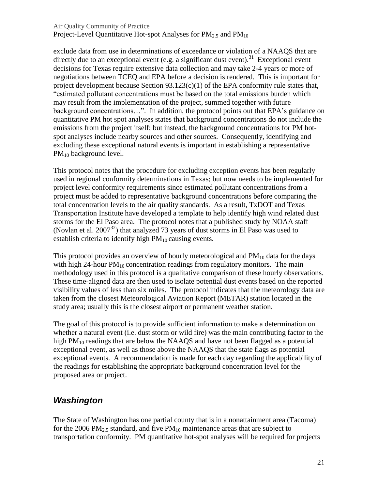#### Air Quality Community of Practice

Project-Level Quantitative Hot-spot Analyses for  $PM_{2.5}$  and  $PM_{10}$ 

exclude data from use in determinations of exceedance or violation of a NAAQS that are directly due to an exceptional event (e.g. a significant dust event).<sup>31</sup> Exceptional event decisions for Texas require extensive data collection and may take 2-4 years or more of negotiations between TCEQ and EPA before a decision is rendered. This is important for project development because Section 93.123(c)(1) of the EPA conformity rule states that, "estimated pollutant concentrations must be based on the total emissions burden which may result from the implementation of the project, summed together with future background concentrations…". In addition, the protocol points out that EPA's guidance on quantitative PM hot spot analyses states that background concentrations do not include the emissions from the project itself; but instead, the background concentrations for PM hotspot analyses include nearby sources and other sources. Consequently, identifying and excluding these exceptional natural events is important in establishing a representative PM<sub>10</sub> background level.

This protocol notes that the procedure for excluding exception events has been regularly used in regional conformity determinations in Texas; but now needs to be implemented for project level conformity requirements since estimated pollutant concentrations from a project must be added to representative background concentrations before comparing the total concentration levels to the air quality standards. As a result, TxDOT and Texas Transportation Institute have developed a template to help identify high wind related dust storms for the El Paso area. The protocol notes that a published study by NOAA staff (Novlan et al.  $2007^{32}$ ) that analyzed 73 years of dust storms in El Paso was used to establish criteria to identify high  $PM_{10}$  causing events.

This protocol provides an overview of hourly meteorological and  $PM_{10}$  data for the days with high 24-hour  $PM_{10}$  concentration readings from regulatory monitors. The main methodology used in this protocol is a qualitative comparison of these hourly observations. These time-aligned data are then used to isolate potential dust events based on the reported visibility values of less than six miles. The protocol indicates that the meteorology data are taken from the closest Meteorological Aviation Report (METAR) station located in the study area; usually this is the closest airport or permanent weather station.

The goal of this protocol is to provide sufficient information to make a determination on whether a natural event (i.e. dust storm or wild fire) was the main contributing factor to the high  $PM_{10}$  readings that are below the NAAQS and have not been flagged as a potential exceptional event, as well as those above the NAAQS that the state flags as potential exceptional events. A recommendation is made for each day regarding the applicability of the readings for establishing the appropriate background concentration level for the proposed area or project.

### <span id="page-23-0"></span>*Washington*

The State of Washington has one partial county that is in a nonattainment area (Tacoma) for the 2006 PM<sub>2.5</sub> standard, and five PM<sub>10</sub> maintenance areas that are subject to transportation conformity. PM quantitative hot-spot analyses will be required for projects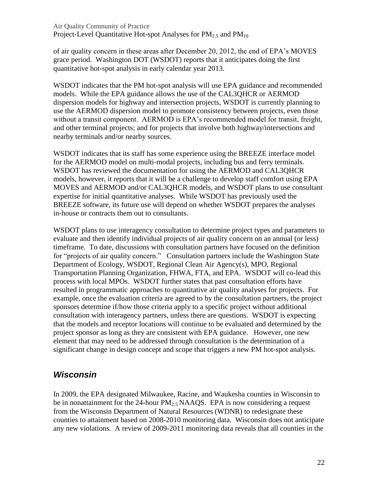of air quality concern in these areas after December 20, 2012, the end of EPA's MOVES grace period. Washington DOT (WSDOT) reports that it anticipates doing the first quantitative hot-spot analysis in early calendar year 2013.

WSDOT indicates that the PM hot-spot analysis will use EPA guidance and recommended models. While the EPA guidance allows the use of the CAL3QHCR or AERMOD dispersion models for highway and intersection projects, WSDOT is currently planning to use the AERMOD dispersion model to promote consistency between projects, even those without a transit component. AERMOD is EPA's recommended model for transit, freight, and other terminal projects; and for projects that involve both highway/intersections and nearby terminals and/or nearby sources.

WSDOT indicates that its staff has some experience using the BREEZE interface model for the AERMOD model on multi-modal projects, including bus and ferry terminals. WSDOT has reviewed the documentation for using the AERMOD and CAL3QHCR models, however, it reports that it will be a challenge to develop staff comfort using EPA MOVES and AERMOD and/or CAL3QHCR models, and WSDOT plans to use consultant expertise for initial quantitative analyses. While WSDOT has previously used the BREEZE software, its future use will depend on whether WSDOT prepares the analyses in-house or contracts them out to consultants.

WSDOT plans to use interagency consultation to determine project types and parameters to evaluate and then identify individual projects of air quality concern on an annual (or less) timeframe. To date, discussions with consultation partners have focused on the definition for "projects of air quality concern." Consultation partners include the Washington State Department of Ecology, WSDOT, Regional Clean Air Agency(s), MPO, Regional Transportation Planning Organization, FHWA, FTA, and EPA. WSDOT will co-lead this process with local MPOs. WSDOT further states that past consultation efforts have resulted in programmatic approaches to quantitative air quality analyses for projects. For example, once the evaluation criteria are agreed to by the consultation partners, the project sponsors determine if/how those criteria apply to a specific project without additional consultation with interagency partners, unless there are questions. WSDOT is expecting that the models and receptor locations will continue to be evaluated and determined by the project sponsor as long as they are consistent with EPA guidance. However, one new element that may need to be addressed through consultation is the determination of a significant change in design concept and scope that triggers a new PM hot-spot analysis.

### <span id="page-24-0"></span>*Wisconsin*

In 2009, the EPA designated Milwaukee, Racine, and Waukesha counties in Wisconsin to be in nonattainment for the 24-hour  $PM<sub>2.5</sub> NAAQS$ . EPA is now considering a request from the Wisconsin Department of Natural Resources (WDNR) to redesignate these counties to attainment based on 2008-2010 monitoring data. Wisconsin does not anticipate any new violations. A review of 2009-2011 monitoring data reveals that all counties in the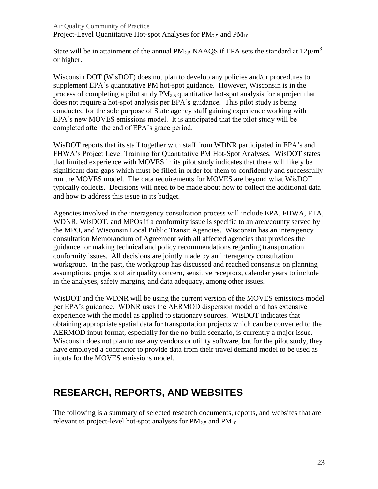State will be in attainment of the annual PM<sub>2.5</sub> NAAQS if EPA sets the standard at  $12\mu/m^3$ or higher.

Wisconsin DOT (WisDOT) does not plan to develop any policies and/or procedures to supplement EPA's quantitative PM hot-spot guidance. However, Wisconsin is in the process of completing a pilot study  $PM_2$ , quantitative hot-spot analysis for a project that does not require a hot-spot analysis per EPA's guidance. This pilot study is being conducted for the sole purpose of State agency staff gaining experience working with EPA's new MOVES emissions model. It is anticipated that the pilot study will be completed after the end of EPA's grace period.

WisDOT reports that its staff together with staff from WDNR participated in EPA's and FHWA's Project Level Training for Quantitative PM Hot-Spot Analyses. WisDOT states that limited experience with MOVES in its pilot study indicates that there will likely be significant data gaps which must be filled in order for them to confidently and successfully run the MOVES model. The data requirements for MOVES are beyond what WisDOT typically collects. Decisions will need to be made about how to collect the additional data and how to address this issue in its budget.

Agencies involved in the interagency consultation process will include EPA, FHWA, FTA, WDNR, WisDOT, and MPOs if a conformity issue is specific to an area/county served by the MPO, and Wisconsin Local Public Transit Agencies. Wisconsin has an interagency consultation Memorandum of Agreement with all affected agencies that provides the guidance for making technical and policy recommendations regarding transportation conformity issues. All decisions are jointly made by an interagency consultation workgroup. In the past, the workgroup has discussed and reached consensus on planning assumptions, projects of air quality concern, sensitive receptors, calendar years to include in the analyses, safety margins, and data adequacy, among other issues.

WisDOT and the WDNR will be using the current version of the MOVES emissions model per EPA's guidance. WDNR uses the AERMOD dispersion model and has extensive experience with the model as applied to stationary sources. WisDOT indicates that obtaining appropriate spatial data for transportation projects which can be converted to the AERMOD input format, especially for the no-build scenario, is currently a major issue. Wisconsin does not plan to use any vendors or utility software, but for the pilot study, they have employed a contractor to provide data from their travel demand model to be used as inputs for the MOVES emissions model.

# <span id="page-25-0"></span>**RESEARCH, REPORTS, AND WEBSITES**

The following is a summary of selected research documents, reports, and websites that are relevant to project-level hot-spot analyses for  $PM_{2.5}$  and  $PM_{10}$ .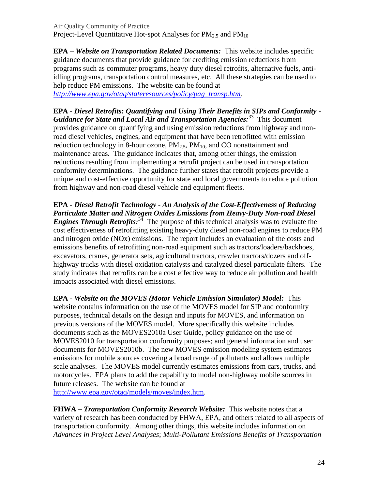from highway and non-road diesel vehicle and equipment fleets.

**EPA** *– Website on Transportation Related Documents:* This website includes specific guidance documents that provide guidance for crediting emission reductions from programs such as commuter programs, heavy duty diesel retrofits, alternative fuels, antiidling programs, transportation control measures, etc. All these strategies can be used to help reduce PM emissions. The website can be found at *[http://www.epa.gov/otaq/stateresources/policy/pag\\_transp.htm.](http://www.epa.gov/otaq/stateresources/policy/pag_transp.htm)* 

**EPA** *- Diesel Retrofits: Quantifying and Using Their Benefits in SIPs and Conformity -* Guidance for State and Local Air and Transportation Agencies:<sup>33</sup> This document provides guidance on quantifying and using emission reductions from highway and nonroad diesel vehicles, engines, and equipment that have been retrofitted with emission reduction technology in 8-hour ozone,  $PM_{2.5}$ ,  $PM_{10}$ , and CO nonattainment and maintenance areas. The guidance indicates that, among other things, the emission reductions resulting from implementing a retrofit project can be used in transportation conformity determinations. The guidance further states that retrofit projects provide a

**EPA** *- Diesel Retrofit Technology - An Analysis of the Cost-Effectiveness of Reducing Particulate Matter and Nitrogen Oxides Emissions from Heavy-Duty Non-road Diesel Engines Through Retrofits:*<sup>34</sup> The purpose of this technical analysis was to evaluate the cost effectiveness of retrofitting existing heavy-duty diesel non-road engines to reduce PM and nitrogen oxide (NOx) emissions. The report includes an evaluation of the costs and emissions benefits of retrofitting non-road equipment such as tractors/loaders/backhoes, excavators, cranes, generator sets, agricultural tractors, crawler tractors/dozers and offhighway trucks with diesel oxidation catalysts and catalyzed diesel particulate filters. The study indicates that retrofits can be a cost effective way to reduce air pollution and health impacts associated with diesel emissions.

unique and cost-effective opportunity for state and local governments to reduce pollution

**EPA** *- Website on the MOVES (Motor Vehicle Emission Simulator) Model:* This website contains information on the use of the MOVES model for SIP and conformity purposes, technical details on the design and inputs for MOVES, and information on previous versions of the MOVES model. More specifically this website includes documents such as the MOVES2010a User Guide, policy guidance on the use of MOVES2010 for transportation conformity purposes; and general information and user documents for MOVES2010b. The new MOVES emission modeling system estimates emissions for mobile sources covering a broad range of pollutants and allows multiple scale analyses. The MOVES model currently estimates emissions from cars, trucks, and motorcycles. EPA plans to add the capability to model non-highway mobile sources in future releases. The website can be found at

[http://www.epa.gov/otaq/models/moves/index.htm.](http://www.epa.gov/otaq/models/moves/index.htm)

**FHWA** *– Transportation Conformity Research Website:* This website notes that a variety of research has been conducted by FHWA, EPA, and others related to all aspects of transportation conformity. Among other things, this website includes information on *Advances in Project Level Analyses*; *Multi-Pollutant Emissions Benefits of Transportation*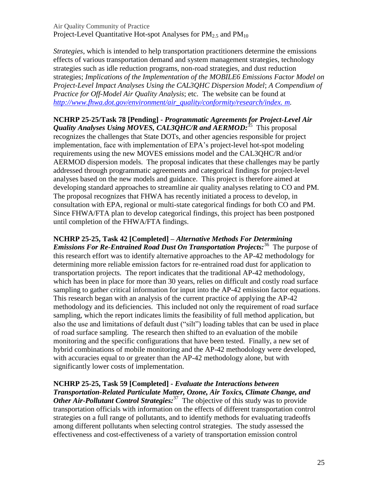*Strategies*, which is intended to help transportation practitioners determine the emissions effects of various transportation demand and system management strategies, technology strategies such as idle reduction programs, non-road strategies, and dust reduction strategies; *Implications of the Implementation of the MOBILE6 Emissions Factor Model on Project-Level Impact Analyses Using the CAL3QHC Dispersion Model*; *A Compendium of Practice for Off-Model Air Quality Analysis*; etc. The website can be found at *[http://www.fhwa.dot.gov/environment/air\\_quality/conformity/research/index.](http://www.fhwa.dot.gov/environment/air_quality/conformity/research/index.cfm) m.* 

**NCHRP 25-25/Task 78 [Pending]** *- Programmatic Agreements for Project-Level Air Quality Analyses Using MOVES, CAL3QHC/R and AERMOD:*<sup>35</sup> This proposal recognizes the challenges that State DOTs, and other agencies responsible for project implementation, face with implementation of EPA's project-level hot-spot modeling requirements using the new MOVES emissions model and the CAL3QHC/R and/or AERMOD dispersion models. The proposal indicates that these challenges may be partly addressed through programmatic agreements and categorical findings for project-level analyses based on the new models and guidance. This project is therefore aimed at developing standard approaches to streamline air quality analyses relating to CO and PM. The proposal recognizes that FHWA has recently initiated a process to develop, in consultation with EPA, regional or multi-state categorical findings for both CO and PM. Since FHWA/FTA plan to develop categorical findings, this project has been postponed until completion of the FHWA/FTA findings.

**NCHRP 25-25, Task 42 [Completed] –** *Alternative Methods For Determining Emissions For Re-Entrained Road Dust On Transportation Projects:*<sup>36</sup> The purpose of this research effort was to identify alternative approaches to the AP-42 methodology for determining more reliable emission factors for re-entrained road dust for application to transportation projects. The report indicates that the traditional AP-42 methodology, which has been in place for more than 30 years, relies on difficult and costly road surface sampling to gather critical information for input into the AP-42 emission factor equations. This research began with an analysis of the current practice of applying the AP-42 methodology and its deficiencies. This included not only the requirement of road surface sampling, which the report indicates limits the feasibility of full method application, but also the use and limitations of default dust ("silt") loading tables that can be used in place of road surface sampling. The research then shifted to an evaluation of the mobile monitoring and the specific configurations that have been tested. Finally, a new set of hybrid combinations of mobile monitoring and the AP-42 methodology were developed, with accuracies equal to or greater than the AP-42 methodology alone, but with significantly lower costs of implementation.

**NCHRP 25-25, Task 59 [Completed]** *- Evaluate the Interactions between Transportation-Related Particulate Matter, Ozone, Air Toxics, Climate Change, and Other Air-Pollutant Control Strategies:*<sup>37</sup> The objective of this study was to provide transportation officials with information on the effects of different transportation control strategies on a full range of pollutants, and to identify methods for evaluating tradeoffs among different pollutants when selecting control strategies. The study assessed the effectiveness and cost-effectiveness of a variety of transportation emission control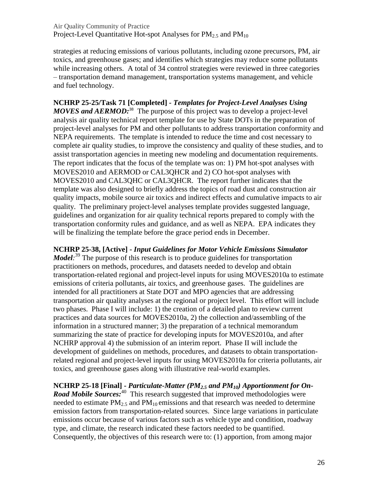strategies at reducing emissions of various pollutants, including ozone precursors, PM, air toxics, and greenhouse gases; and identifies which strategies may reduce some pollutants while increasing others. A total of 34 control strategies were reviewed in three categories – transportation demand management, transportation systems management, and vehicle and fuel technology.

**NCHRP 25-25/Task 71 [Completed]** *- Templates for Project-Level Analyses Using MOVES and AERMOD*:<sup>38</sup> The purpose of this project was to develop a project-level analysis air quality technical report template for use by State DOTs in the preparation of project-level analyses for PM and other pollutants to address transportation conformity and NEPA requirements. The template is intended to reduce the time and cost necessary to complete air quality studies, to improve the consistency and quality of these studies, and to assist transportation agencies in meeting new modeling and documentation requirements. The report indicates that the focus of the template was on: 1) PM hot-spot analyses with MOVES2010 and AERMOD or CAL3QHCR and 2) CO hot‐spot analyses with MOVES2010 and CAL3QHC or CAL3QHCR. The report further indicates that the template was also designed to briefly address the topics of road dust and construction air quality impacts, mobile source air toxics and indirect effects and cumulative impacts to air quality. The preliminary project‐level analyses template provides suggested language, guidelines and organization for air quality technical reports prepared to comply with the transportation conformity rules and guidance, and as well as NEPA. EPA indicates they will be finalizing the template before the grace period ends in December.

**NCHRP 25-38, [Active] -** *Input Guidelines for Motor Vehicle Emissions Simulator Model*<sup>39</sup> The purpose of this research is to produce guidelines for transportation practitioners on methods, procedures, and datasets needed to develop and obtain transportation-related regional and project-level inputs for using MOVES2010a to estimate emissions of criteria pollutants, air toxics, and greenhouse gases. The guidelines are intended for all practitioners at State DOT and MPO agencies that are addressing transportation air quality analyses at the regional or project level. This effort will include two phases. Phase I will include: 1) the creation of a detailed plan to review current practices and data sources for MOVES2010a, 2) the collection and/assembling of the information in a structured manner; 3) the preparation of a technical memorandum summarizing the state of practice for developing inputs for MOVES2010a, and after NCHRP approval 4) the submission of an interim report. Phase II will include the development of guidelines on methods, procedures, and datasets to obtain transportationrelated regional and project-level inputs for using MOVES2010a for criteria pollutants, air toxics, and greenhouse gases along with illustrative real-world examples.

**NCHRP 25-18 [Final] -** *Particulate-Matter (PM2.5 and PM10) Apportionment for On-Road Mobile Sources:*<sup>40</sup> This research suggested that improved methodologies were needed to estimate  $PM_{2.5}$  and  $PM_{10}$  emissions and that research was needed to determine emission factors from transportation-related sources. Since large variations in particulate emissions occur because of various factors such as vehicle type and condition, roadway type, and climate, the research indicated these factors needed to be quantified. Consequently, the objectives of this research were to: (1) apportion, from among major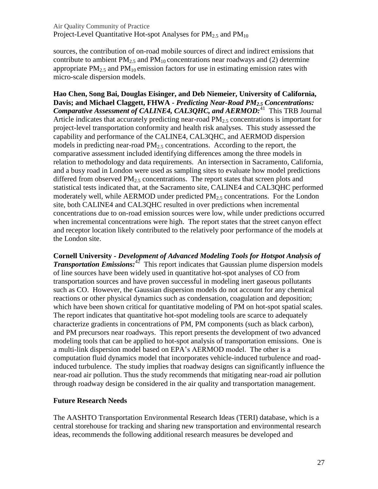sources, the contribution of on-road mobile sources of direct and indirect emissions that contribute to ambient  $PM_{2.5}$  and  $PM_{10}$  concentrations near roadways and (2) determine appropriate  $PM_{2.5}$  and  $PM_{10}$  emission factors for use in estimating emission rates with micro-scale dispersion models.

**Hao Chen, Song Bai, Douglas Eisinger, and Deb Niemeier, University of California, Davis; and Michael Claggett, FHWA -** *Predicting Near-Road PM2.5 Concentrations: Comparative Assessment of CALINE4, CAL3QHC, and AERMOD:*<sup>41</sup> This TRB Journal Article indicates that accurately predicting near-road  $PM<sub>2.5</sub>$  concentrations is important for project-level transportation conformity and health risk analyses. This study assessed the capability and performance of the CALINE4, CAL3QHC, and AERMOD dispersion models in predicting near-road  $PM_{2.5}$  concentrations. According to the report, the comparative assessment included identifying differences among the three models in relation to methodology and data requirements. An intersection in Sacramento, California, and a busy road in London were used as sampling sites to evaluate how model predictions differed from observed  $PM_{2.5}$  concentrations. The report states that screen plots and statistical tests indicated that, at the Sacramento site, CALINE4 and CAL3QHC performed moderately well, while AERMOD under predicted  $PM<sub>2.5</sub>$  concentrations. For the London site, both CALINE4 and CAL3QHC resulted in over predictions when incremental concentrations due to on-road emission sources were low, while under predictions occurred when incremental concentrations were high. The report states that the street canyon effect and receptor location likely contributed to the relatively poor performance of the models at the London site.

**Cornell University** *- Development of Advanced Modeling Tools for Hotspot Analysis of Transportation Emissions:*<sup>42</sup> This report indicates that Gaussian plume dispersion models of line sources have been widely used in quantitative hot-spot analyses of CO from transportation sources and have proven successful in modeling inert gaseous pollutants such as CO. However, the Gaussian dispersion models do not account for any chemical reactions or other physical dynamics such as condensation, coagulation and deposition; which have been shown critical for quantitative modeling of PM on hot-spot spatial scales. The report indicates that quantitative hot-spot modeling tools are scarce to adequately characterize gradients in concentrations of PM, PM components (such as black carbon), and PM precursors near roadways. This report presents the development of two advanced modeling tools that can be applied to hot-spot analysis of transportation emissions. One is a multi-link dispersion model based on EPA's AERMOD model. The other is a computation fluid dynamics model that incorporates vehicle-induced turbulence and roadinduced turbulence. The study implies that roadway designs can significantly influence the near-road air pollution. Thus the study recommends that mitigating near-road air pollution through roadway design be considered in the air quality and transportation management.

### **Future Research Needs**

The AASHTO Transportation Environmental Research Ideas (TERI) database, which is a central storehouse for tracking and sharing new transportation and environmental research ideas, recommends the following additional research measures be developed and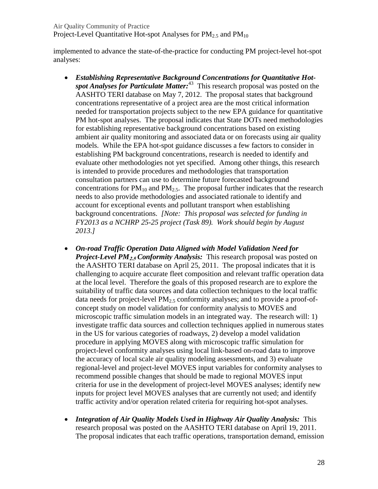implemented to advance the state-of-the-practice for conducting PM project-level hot-spot analyses:

- *Establishing Representative Background Concentrations for Quantitative Hot*spot Analyses for Particulate Matter:<sup>43</sup> This research proposal was posted on the AASHTO TERI database on May 7, 2012. The proposal states that background concentrations representative of a project area are the most critical information needed for transportation projects subject to the new EPA guidance for quantitative PM hot-spot analyses. The proposal indicates that State DOTs need methodologies for establishing representative background concentrations based on existing ambient air quality monitoring and associated data or on forecasts using air quality models. While the EPA hot-spot guidance discusses a few factors to consider in establishing PM background concentrations, research is needed to identify and evaluate other methodologies not yet specified. Among other things, this research is intended to provide procedures and methodologies that transportation consultation partners can use to determine future forecasted background concentrations for  $PM_{10}$  and  $PM_{2.5}$ . The proposal further indicates that the research needs to also provide methodologies and associated rationale to identify and account for exceptional events and pollutant transport when establishing background concentrations. *[Note: This proposal was selected for funding in FY2013 as a NCHRP 25-25 project (Task 89). Work should begin by August 2013.]*
- *On-road Traffic Operation Data Aligned with Model Validation Need for Project-Level PM***2.5** *Conformity Analysis:* This research proposal was posted on the AASHTO TERI database on April 25, 2011. The proposal indicates that it is challenging to acquire accurate fleet composition and relevant traffic operation data at the local level. Therefore the goals of this proposed research are to explore the suitability of traffic data sources and data collection techniques to the local traffic data needs for project-level  $PM_{2.5}$  conformity analyses; and to provide a proof-ofconcept study on model validation for conformity analysis to MOVES and microscopic traffic simulation models in an integrated way. The research will: 1) investigate traffic data sources and collection techniques applied in numerous states in the US for various categories of roadways, 2) develop a model validation procedure in applying MOVES along with microscopic traffic simulation for project-level conformity analyses using local link-based on-road data to improve the accuracy of local scale air quality modeling assessments, and 3) evaluate regional-level and project-level MOVES input variables for conformity analyses to recommend possible changes that should be made to regional MOVES input criteria for use in the development of project-level MOVES analyses; identify new inputs for project level MOVES analyses that are currently not used; and identify traffic activity and/or operation related criteria for requiring hot-spot analyses.
- *Integration of Air Quality Models Used in Highway Air Quality Analysis:* This research proposal was posted on the AASHTO TERI database on April 19, 2011. The proposal indicates that each traffic operations, transportation demand, emission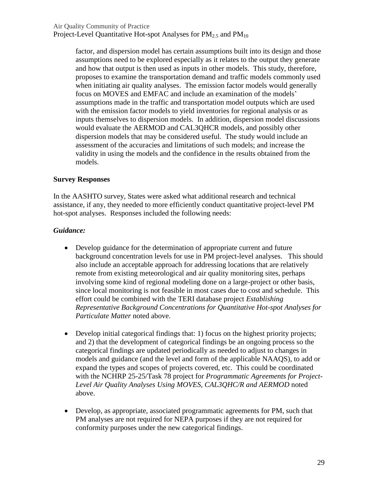Project-Level Quantitative Hot-spot Analyses for  $PM_{2.5}$  and  $PM_{10}$ 

factor, and dispersion model has certain assumptions built into its design and those assumptions need to be explored especially as it relates to the output they generate and how that output is then used as inputs in other models. This study, therefore, proposes to examine the transportation demand and traffic models commonly used when initiating air quality analyses. The emission factor models would generally focus on MOVES and EMFAC and include an examination of the models' assumptions made in the traffic and transportation model outputs which are used with the emission factor models to yield inventories for regional analysis or as inputs themselves to dispersion models. In addition, dispersion model discussions would evaluate the AERMOD and CAL3QHCR models, and possibly other dispersion models that may be considered useful. The study would include an assessment of the accuracies and limitations of such models; and increase the validity in using the models and the confidence in the results obtained from the models.

#### **Survey Responses**

In the AASHTO survey, States were asked what additional research and technical assistance, if any, they needed to more efficiently conduct quantitative project-level PM hot-spot analyses. Responses included the following needs:

#### *Guidance:*

- Develop guidance for the determination of appropriate current and future background concentration levels for use in PM project-level analyses. This should also include an acceptable approach for addressing locations that are relatively remote from existing meteorological and air quality monitoring sites, perhaps involving some kind of regional modeling done on a large-project or other basis, since local monitoring is not feasible in most cases due to cost and schedule. This effort could be combined with the TERI database project *Establishing Representative Background Concentrations for Quantitative Hot-spot Analyses for Particulate Matter* noted above.
- Develop initial categorical findings that: 1) focus on the highest priority projects; and 2) that the development of categorical findings be an ongoing process so the categorical findings are updated periodically as needed to adjust to changes in models and guidance (and the level and form of the applicable NAAQS), to add or expand the types and scopes of projects covered, etc. This could be coordinated with the NCHRP 25-25/Task 78 project for *Programmatic Agreements for Project-Level Air Quality Analyses Using MOVES, CAL3QHC/R and AERMOD* noted above.
- Develop, as appropriate, associated programmatic agreements for PM, such that PM analyses are not required for NEPA purposes if they are not required for conformity purposes under the new categorical findings.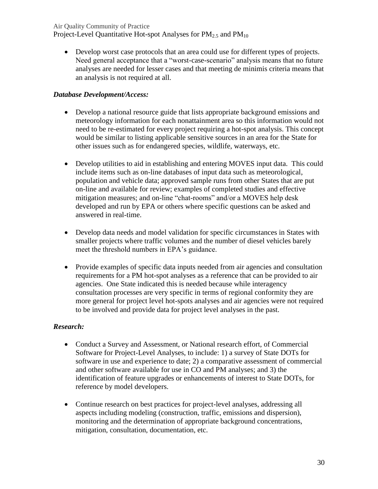#### Air Quality Community of Practice

Project-Level Quantitative Hot-spot Analyses for  $PM_{2.5}$  and  $PM_{10}$ 

 Develop worst case protocols that an area could use for different types of projects. Need general acceptance that a "worst-case-scenario" analysis means that no future analyses are needed for lesser cases and that meeting de minimis criteria means that an analysis is not required at all.

#### *Database Development/Access:*

- Develop a national resource guide that lists appropriate background emissions and meteorology information for each nonattainment area so this information would not need to be re-estimated for every project requiring a hot-spot analysis. This concept would be similar to listing applicable sensitive sources in an area for the State for other issues such as for endangered species, wildlife, waterways, etc.
- Develop utilities to aid in establishing and entering MOVES input data. This could include items such as on-line databases of input data such as meteorological, population and vehicle data; approved sample runs from other States that are put on-line and available for review; examples of completed studies and effective mitigation measures; and on-line "chat-rooms" and/or a MOVES help desk developed and run by EPA or others where specific questions can be asked and answered in real-time.
- Develop data needs and model validation for specific circumstances in States with smaller projects where traffic volumes and the number of diesel vehicles barely meet the threshold numbers in EPA's guidance.
- Provide examples of specific data inputs needed from air agencies and consultation requirements for a PM hot-spot analyses as a reference that can be provided to air agencies. One State indicated this is needed because while interagency consultation processes are very specific in terms of regional conformity they are more general for project level hot-spots analyses and air agencies were not required to be involved and provide data for project level analyses in the past.

### *Research:*

- Conduct a Survey and Assessment, or National research effort, of Commercial Software for Project-Level Analyses, to include: 1) a survey of State DOTs for software in use and experience to date; 2) a comparative assessment of commercial and other software available for use in CO and PM analyses; and 3) the identification of feature upgrades or enhancements of interest to State DOTs, for reference by model developers.
- Continue research on best practices for project-level analyses, addressing all aspects including modeling (construction, traffic, emissions and dispersion), monitoring and the determination of appropriate background concentrations, mitigation, consultation, documentation, etc.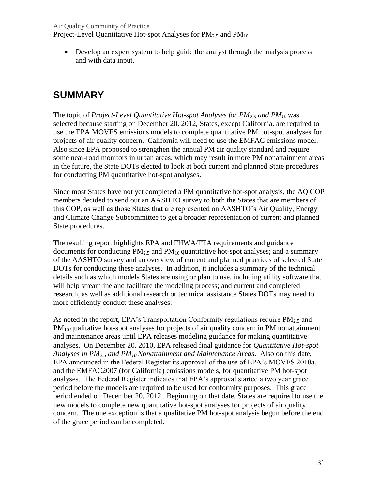Develop an expert system to help guide the analyst through the analysis process and with data input.

# <span id="page-33-0"></span>**SUMMARY**

The topic of *Project-Level Quantitative Hot-spot Analyses for PM2.5 and PM10* was selected because starting on December 20, 2012, States, except California, are required to use the EPA MOVES emissions models to complete quantitative PM hot-spot analyses for projects of air quality concern. California will need to use the EMFAC emissions model. Also since EPA proposed to strengthen the annual PM air quality standard and require some near-road monitors in urban areas, which may result in more PM nonattainment areas in the future, the State DOTs elected to look at both current and planned State procedures for conducting PM quantitative hot-spot analyses.

Since most States have not yet completed a PM quantitative hot-spot analysis, the AQ COP members decided to send out an AASHTO survey to both the States that are members of this COP, as well as those States that are represented on AASHTO's Air Quality, Energy and Climate Change Subcommittee to get a broader representation of current and planned State procedures.

The resulting report highlights EPA and FHWA/FTA requirements and guidance documents for conducting  $PM_{2.5}$  and  $PM_{10}$  quantitative hot-spot analyses; and a summary of the AASHTO survey and an overview of current and planned practices of selected State DOTs for conducting these analyses. In addition, it includes a summary of the technical details such as which models States are using or plan to use, including utility software that will help streamline and facilitate the modeling process; and current and completed research, as well as additional research or technical assistance States DOTs may need to more efficiently conduct these analyses.

As noted in the report, EPA's Transportation Conformity regulations require  $PM<sub>2.5</sub>$  and PM<sub>10</sub> qualitative hot-spot analyses for projects of air quality concern in PM nonattainment and maintenance areas until EPA releases modeling guidance for making quantitative analyses. On December 20, 2010, EPA released final guidance for *Quantitative Hot-spot Analyses in PM2.5 and PM10 Nonattainment and Maintenance Areas*. Also on this date, EPA announced in the Federal Register its approval of the use of EPA's MOVES 2010a, and the EMFAC2007 (for California) emissions models, for quantitative PM hot-spot analyses. The Federal Register indicates that EPA's approval started a two year grace period before the models are required to be used for conformity purposes. This grace period ended on December 20, 2012. Beginning on that date, States are required to use the new models to complete new quantitative hot-spot analyses for projects of air quality concern. The one exception is that a qualitative PM hot-spot analysis begun before the end of the grace period can be completed.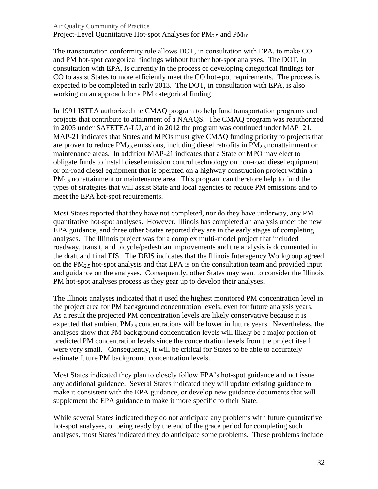The transportation conformity rule allows DOT, in consultation with EPA, to make CO and PM hot-spot categorical findings without further hot-spot analyses. The DOT, in consultation with EPA, is currently in the process of developing categorical findings for CO to assist States to more efficiently meet the CO hot-spot requirements. The process is expected to be completed in early 2013. The DOT, in consultation with EPA, is also working on an approach for a PM categorical finding.

In 1991 ISTEA authorized the CMAQ program to help fund transportation programs and projects that contribute to attainment of a NAAQS. The CMAQ program was reauthorized in 2005 under SAFETEA-LU, and in 2012 the program was continued under MAP–21. MAP-21 indicates that States and MPOs must give CMAQ funding priority to projects that are proven to reduce  $PM<sub>2.5</sub>$  emissions, including diesel retrofits in  $PM<sub>2.5</sub>$  nonattainment or maintenance areas. In addition MAP-21 indicates that a State or MPO may elect to obligate funds to install diesel emission control technology on non-road diesel equipment or on-road diesel equipment that is operated on a highway construction project within a  $PM<sub>25</sub>$  nonattainment or maintenance area. This program can therefore help to fund the types of strategies that will assist State and local agencies to reduce PM emissions and to meet the EPA hot-spot requirements.

Most States reported that they have not completed, nor do they have underway, any PM quantitative hot-spot analyses. However, Illinois has completed an analysis under the new EPA guidance, and three other States reported they are in the early stages of completing analyses. The Illinois project was for a complex multi-model project that included roadway, transit, and bicycle/pedestrian improvements and the analysis is documented in the draft and final EIS. The DEIS indicates that the Illinois Interagency Workgroup agreed on the PM<sub>2.5</sub> hot-spot analysis and that EPA is on the consultation team and provided input and guidance on the analyses. Consequently, other States may want to consider the Illinois PM hot-spot analyses process as they gear up to develop their analyses.

The Illinois analyses indicated that it used the highest monitored PM concentration level in the project area for PM background concentration levels, even for future analysis years. As a result the projected PM concentration levels are likely conservative because it is expected that ambient  $PM_{2.5}$  concentrations will be lower in future years. Nevertheless, the analyses show that PM background concentration levels will likely be a major portion of predicted PM concentration levels since the concentration levels from the project itself were very small. Consequently, it will be critical for States to be able to accurately estimate future PM background concentration levels.

Most States indicated they plan to closely follow EPA's hot-spot guidance and not issue any additional guidance. Several States indicated they will update existing guidance to make it consistent with the EPA guidance, or develop new guidance documents that will supplement the EPA guidance to make it more specific to their State.

While several States indicated they do not anticipate any problems with future quantitative hot-spot analyses, or being ready by the end of the grace period for completing such analyses, most States indicated they do anticipate some problems. These problems include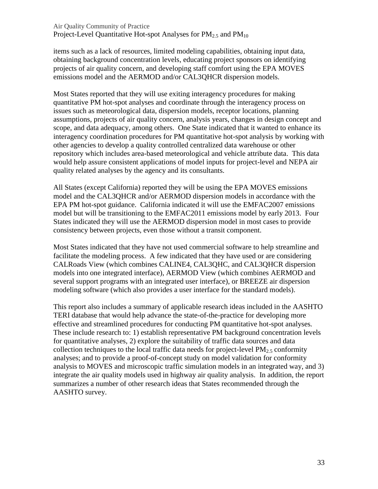items such as a lack of resources, limited modeling capabilities, obtaining input data, obtaining background concentration levels, educating project sponsors on identifying projects of air quality concern, and developing staff comfort using the EPA MOVES emissions model and the AERMOD and/or CAL3QHCR dispersion models.

Most States reported that they will use exiting interagency procedures for making quantitative PM hot-spot analyses and coordinate through the interagency process on issues such as meteorological data, dispersion models, receptor locations, planning assumptions, projects of air quality concern, analysis years, changes in design concept and scope, and data adequacy, among others. One State indicated that it wanted to enhance its interagency coordination procedures for PM quantitative hot-spot analysis by working with other agencies to develop a quality controlled centralized data warehouse or other repository which includes area-based meteorological and vehicle attribute data. This data would help assure consistent applications of model inputs for project-level and NEPA air quality related analyses by the agency and its consultants.

All States (except California) reported they will be using the EPA MOVES emissions model and the CAL3QHCR and/or AERMOD dispersion models in accordance with the EPA PM hot-spot guidance. California indicated it will use the EMFAC2007 emissions model but will be transitioning to the EMFAC2011 emissions model by early 2013. Four States indicated they will use the AERMOD dispersion model in most cases to provide consistency between projects, even those without a transit component.

Most States indicated that they have not used commercial software to help streamline and facilitate the modeling process. A few indicated that they have used or are considering CALRoads View (which combines CALINE4, CAL3QHC, and CAL3QHCR dispersion models into one integrated interface), AERMOD View (which combines AERMOD and several support programs with an integrated user interface), or BREEZE air dispersion modeling software (which also provides a user interface for the standard models).

This report also includes a summary of applicable research ideas included in the AASHTO TERI database that would help advance the state-of-the-practice for developing more effective and streamlined procedures for conducting PM quantitative hot-spot analyses*.*  These include research to: 1) establish representative PM background concentration levels for quantitative analyses, 2) explore the suitability of traffic data sources and data collection techniques to the local traffic data needs for project-level  $PM_{2.5}$  conformity analyses; and to provide a proof-of-concept study on model validation for conformity analysis to MOVES and microscopic traffic simulation models in an integrated way, and 3) integrate the air quality models used in highway air quality analysis. In addition, the report summarizes a number of other research ideas that States recommended through the AASHTO survey.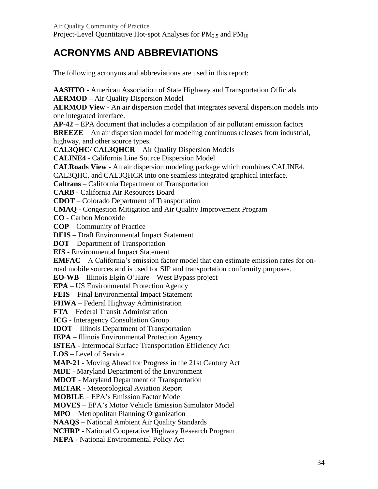# <span id="page-36-0"></span>**ACRONYMS AND ABBREVIATIONS**

The following acronyms and abbreviations are used in this report:

**AASHTO -** American Association of State Highway and Transportation Officials **AERMOD –** Air Quality Dispersion Model **AERMOD View -** An air dispersion model that integrates several dispersion models into one integrated interface. **AP-42** – EPA document that includes a compilation of air pollutant emission factors **BREEZE** – An air dispersion model for modeling continuous releases from industrial, highway, and other source types. **CAL3QHC/ CAL3QHCR** – Air Quality Dispersion Models **CALINE4** - California Line Source Dispersion Model **CALRoads View -** An air dispersion modeling package which combines CALINE4, CAL3QHC, and CAL3QHCR into one seamless integrated graphical interface. **Caltrans** – California Department of Transportation **CARB** - California Air Resources Board **CDOT** – Colorado Department of Transportation **CMAQ** - Congestion Mitigation and Air Quality Improvement Program **CO** - Carbon Monoxide **COP** – Community of Practice **DEIS** – Draft Environmental Impact Statement **DOT** – Department of Transportation **EIS -** Environmental Impact Statement **EMFAC** – A California's emission factor model that can estimate emission rates for onroad mobile sources and is used for SIP and transportation conformity purposes. **EO-WB** – Illinois Elgin O'Hare – West Bypass project **EPA** – US Environmental Protection Agency **FEIS** – Final Environmental Impact Statement **FHWA** – Federal Highway Administration **FTA** – Federal Transit Administration **ICG** - Interagency Consultation Group **IDOT** – Illinois Department of Transportation **IEPA** – Illinois Environmental Protection Agency **ISTEA** - Intermodal Surface Transportation Efficiency Act **LOS** – Level of Service **MAP-21** - Moving Ahead for Progress in the 21st Century Act **MDE** - Maryland Department of the Environment **MDOT** - Maryland Department of Transportation **METAR** - Meteorological Aviation Report **MOBILE** – EPA's Emission Factor Model **MOVES** – EPA's Motor Vehicle Emission Simulator Model **MPO** – Metropolitan Planning Organization **NAAQS** – National Ambient Air Quality Standards **NCHRP** - National Cooperative Highway Research Program **NEPA** - National Environmental Policy Act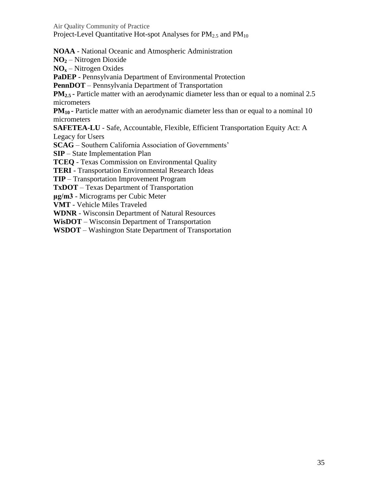**NOAA** *-* National Oceanic and Atmospheric Administration

**NO<sup>2</sup>** – Nitrogen Dioxide

**NO<sup>x</sup>** – Nitrogen Oxides

**PaDEP** - Pennsylvania Department of Environmental Protection

**PennDOT** – Pennsylvania Department of Transportation

**PM2.5 -** Particle matter with an aerodynamic diameter less than or equal to a nominal 2.5 micrometers

**PM**<sub>10</sub> **-** Particle matter with an aerodynamic diameter less than or equal to a nominal 10 micrometers

**SAFETEA-LU** - Safe, Accountable, Flexible, Efficient Transportation Equity Act: A Legacy for Users

**SCAG** – Southern California Association of Governments'

**SIP** – State Implementation Plan

**TCEQ** - Texas Commission on Environmental Quality

**TERI** - Transportation Environmental Research Ideas

**TIP** – Transportation Improvement Program

**TxDOT** – Texas Department of Transportation

**μg/m3** - Micrograms per Cubic Meter

**VMT** - Vehicle Miles Traveled

**WDNR** - Wisconsin Department of Natural Resources

**WisDOT** – Wisconsin Department of Transportation

**WSDOT** – Washington State Department of Transportation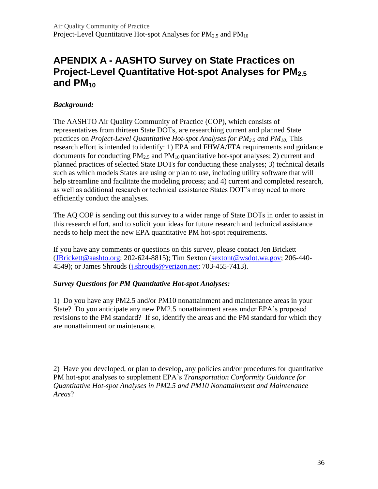# <span id="page-38-0"></span>**APENDIX A - AASHTO Survey on State Practices on Project-Level Quantitative Hot-spot Analyses for PM2.5 and PM<sup>10</sup>**

### *Background:*

The AASHTO Air Quality Community of Practice (COP), which consists of representatives from thirteen State DOTs, are researching current and planned State practices on *Project-Level Quantitative Hot-spot Analyses for PM2.5 and PM10.* This research effort is intended to identify: 1) EPA and FHWA/FTA requirements and guidance documents for conducting  $PM_{2.5}$  and  $PM_{10}$  quantitative hot-spot analyses; 2) current and planned practices of selected State DOTs for conducting these analyses; 3) technical details such as which models States are using or plan to use, including utility software that will help streamline and facilitate the modeling process; and 4) current and completed research, as well as additional research or technical assistance States DOT's may need to more efficiently conduct the analyses.

The AQ COP is sending out this survey to a wider range of State DOTs in order to assist in this research effort, and to solicit your ideas for future research and technical assistance needs to help meet the new EPA quantitative PM hot-spot requirements.

If you have any comments or questions on this survey, please contact Jen Brickett [\(JBrickett@aashto.org;](mailto:JBrickett@aashto.org) 202-624-8815); Tim Sexton [\(sextont@wsdot.wa.gov;](mailto:sextont@wsdot.wa.gov) 206-440- 4549); or James Shrouds [\(j.shrouds@verizon.net;](mailto:j.shrouds@verizon.net) 703-455-7413).

### *Survey Questions for PM Quantitative Hot-spot Analyses:*

1) Do you have any PM2.5 and/or PM10 nonattainment and maintenance areas in your State? Do you anticipate any new PM2.5 nonattainment areas under EPA's proposed revisions to the PM standard? If so, identify the areas and the PM standard for which they are nonattainment or maintenance.

2) Have you developed, or plan to develop, any policies and/or procedures for quantitative PM hot-spot analyses to supplement EPA's *Transportation Conformity Guidance for Quantitative Hot-spot Analyses in PM2.5 and PM10 Nonattainment and Maintenance Areas*?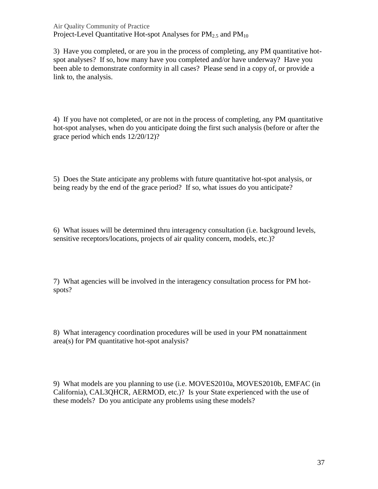3) Have you completed, or are you in the process of completing, any PM quantitative hotspot analyses? If so, how many have you completed and/or have underway? Have you been able to demonstrate conformity in all cases? Please send in a copy of, or provide a link to, the analysis.

4) If you have not completed, or are not in the process of completing, any PM quantitative hot-spot analyses, when do you anticipate doing the first such analysis (before or after the grace period which ends 12/20/12)?

5) Does the State anticipate any problems with future quantitative hot-spot analysis, or being ready by the end of the grace period? If so, what issues do you anticipate?

6) What issues will be determined thru interagency consultation (i.e. background levels, sensitive receptors/locations, projects of air quality concern, models, etc.)?

7) What agencies will be involved in the interagency consultation process for PM hotspots?

8) What interagency coordination procedures will be used in your PM nonattainment area(s) for PM quantitative hot-spot analysis?

9) What models are you planning to use (i.e. MOVES2010a, MOVES2010b, EMFAC (in California), CAL3QHCR, AERMOD, etc.)? Is your State experienced with the use of these models? Do you anticipate any problems using these models?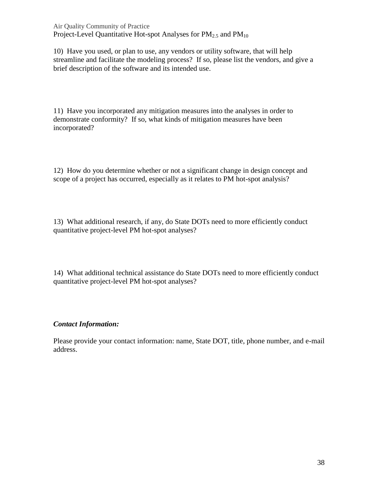10) Have you used, or plan to use, any vendors or utility software, that will help streamline and facilitate the modeling process? If so, please list the vendors, and give a brief description of the software and its intended use.

11) Have you incorporated any mitigation measures into the analyses in order to demonstrate conformity? If so, what kinds of mitigation measures have been incorporated?

12) How do you determine whether or not a significant change in design concept and scope of a project has occurred, especially as it relates to PM hot-spot analysis?

13) What additional research, if any, do State DOTs need to more efficiently conduct quantitative project-level PM hot-spot analyses?

14) What additional technical assistance do State DOTs need to more efficiently conduct quantitative project-level PM hot-spot analyses?

#### *Contact Information:*

Please provide your contact information: name, State DOT, title, phone number, and e-mail address.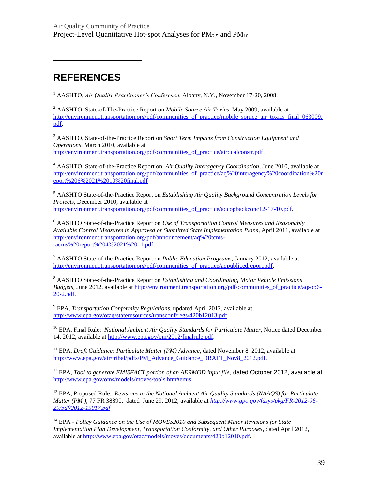# **REFERENCES**

 $\overline{a}$ 

<sup>1</sup> AASHTO, *Air Quality Practitioner's Conference*, Albany, N.Y., November 17-20, 2008.

<sup>2</sup> AASHTO, State-of-The-Practice Report on *Mobile Source Air Toxics*, May 2009, available at http://environment.transportation.org/pdf/communities of practice/mobile soruce air toxics final 063009. [pdf.](http://environment.transportation.org/pdf/communities_of_practice/mobile_soruce_air_toxics_final_063009.pdf)

<sup>3</sup> AASHTO, State-of-the-Practice Report on *Short Term Impacts from Construction Equipment and Operations*, March 2010, available at [http://environment.transportation.org/pdf/communities\\_of\\_practice/airqualconstr.pdf.](http://environment.transportation.org/pdf/communities_of_practice/airqualconstr.pdf)

<sup>4</sup> AASHTO, State-of-the-Practice Report on *Air Quality Interagency Coordination*, June 2010, available at [http://environment.transportation.org/pdf/communities\\_of\\_practice/aq%20interagency%20coordination%20r](http://environment.transportation.org/pdf/communities_of_practice/aq%20interagency%20coordination%20report%206%2021%2010%20final.pdf) [eport%206%2021%2010%20final.pdf](http://environment.transportation.org/pdf/communities_of_practice/aq%20interagency%20coordination%20report%206%2021%2010%20final.pdf)

<sup>5</sup> AASHTO State-of-the-Practice Report on *Establishing Air Quality Background Concentration Levels for Projects,* December 2010, available at [http://environment.transportation.org/pdf/communities\\_of\\_practice/aqcopbackconc12-17-10.pdf.](http://environment.transportation.org/pdf/communities_of_practice/aqcopbackconc12-17-10.pdf)

<sup>6</sup> AASHTO State-of-the-Practice Report on *Use of Transportation Control Measures and Reasonably Available Control Measures in Approved or Submitted State Implementation Plans,* April 2011, available at [http://environment.transportation.org/pdf/announcement/aq%20tcms](http://environment.transportation.org/pdf/announcement/aq%20tcms-racms%20report%204%2021%2011.pdf)[racms%20report%204%2021%2011.pdf.](http://environment.transportation.org/pdf/announcement/aq%20tcms-racms%20report%204%2021%2011.pdf)

<sup>7</sup> AASHTO State-of-the-Practice Report on *Public Education Programs,* January 2012, available at [http://environment.transportation.org/pdf/communities\\_of\\_practice/aqpublicedreport.pdf.](http://environment.transportation.org/pdf/communities_of_practice/aqpublicedreport.pdf)

<sup>8</sup> AASHTO State-of-the-Practice Report on *Establishing and Coordinating Motor Vehicle Emissions Budgets*, June 2012, available at [http://environment.transportation.org/pdf/communities\\_of\\_practice/aqsop6-](http://environment.transportation.org/pdf/communities_of_practice/aqsop6-20-2.pdf) [20-2.pdf.](http://environment.transportation.org/pdf/communities_of_practice/aqsop6-20-2.pdf)

<sup>9</sup> EPA, *Transportation Conformity Regulations*, updated April 2012, available at [http://www.epa.gov/otaq/stateresources/transconf/regs/420b12013.pdf.](http://www.epa.gov/otaq/stateresources/transconf/regs/420b12013.pdf)

<sup>10</sup> EPA, Final Rule: *National Ambient Air Quality Standards for Particulate Matter*, Notice dated December 14, 2012, available at [http://www.epa.gov/pm/2012/finalrule.pdf.](http://www.epa.gov/pm/2012/finalrule.pdf)

<sup>11</sup> EPA, *Draft Guidance: Particulate Matter (PM) Advance*, dated November 8, 2012, available at [http://www.epa.gov/air/tribal/pdfs/PM\\_Advance\\_Guidance\\_DRAFT\\_Nov8\\_2012.pdf.](http://www.epa.gov/air/tribal/pdfs/PM_Advance_Guidance_DRAFT_Nov8_2012.pdf)

<sup>12</sup> EPA, *Tool to generate EMISFACT portion of an AERMOD input file,* dated October 2012, available at <http://www.epa.gov/oms/models/moves/tools.htm#emis>.

<sup>13</sup> EPA, Proposed Rule: *Revisions to the National Ambient Air Quality Standards (NAAQS) for Particulate Matter (PM )*, 77 FR 38890, dated June 29, 2012, available at *[http://www.gpo.gov/fdsys/pkg/FR-2012-06-](http://www.gpo.gov/fdsys/pkg/FR-2012-06-29/pdf/2012-15017.pdf) [29/pdf/2012-15017.pdf](http://www.gpo.gov/fdsys/pkg/FR-2012-06-29/pdf/2012-15017.pdf)*

<sup>14</sup> EPA *- Policy Guidance on the Use of MOVES2010 and Subsequent Minor Revisions for State Implementation Plan Development, Transportation Conformity, and Other Purposes*, dated April 2012, available a[t http://www.epa.gov/otaq/models/moves/documents/420b12010.pdf.](http://www.epa.gov/otaq/models/moves/documents/420b12010.pdf)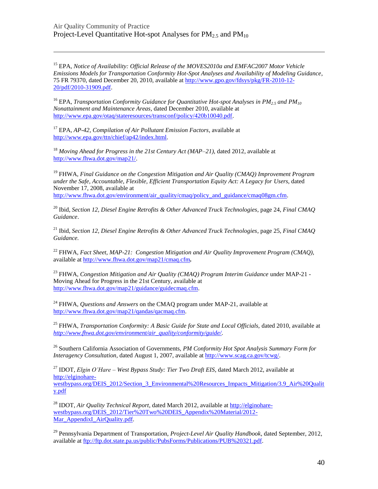$\overline{a}$ 

<sup>15</sup> EPA, *Notice of Availability: Official Release of the MOVES2010a and EMFAC2007 Motor Vehicle Emissions Models for Transportation Conformity Hot-Spot Analyses and Availability of Modeling Guidance*, 75 FR 79370, dated December 20, 2010, available a[t http://www.gpo.gov/fdsys/pkg/FR-2010-12-](http://www.gpo.gov/fdsys/pkg/FR-2010-12-20/pdf/2010-31909.pdf) [20/pdf/2010-31909.pdf.](http://www.gpo.gov/fdsys/pkg/FR-2010-12-20/pdf/2010-31909.pdf)

<sup>16</sup> EPA, *Transportation Conformity Guidance for Quantitative Hot-spot Analyses in PM2.5 and PM<sup>10</sup> Nonattainment and Maintenance Areas,* dated December 2010, available at [http://www.epa.gov/otaq/stateresources/transconf/policy/420b10040.pdf.](http://www.epa.gov/otaq/stateresources/transconf/policy/420b10040.pdf)

<sup>17</sup> EPA, *AP-42, Compilation of Air Pollutant Emission Factors*, available at [http://www.epa.gov/ttn/chief/ap42/index.html.](http://www.epa.gov/ttn/chief/ap42/index.html)

<sup>18</sup> *Moving Ahead for Progress in the 21st Century Act (MAP–21)*, dated 2012, available at [http://www.fhwa.dot.gov/map21/.](http://www.fhwa.dot.gov/map21/)

<sup>19</sup> FHWA, *Final Guidance on the Congestion Mitigation and Air Quality (CMAQ) Improvement Program under the Safe, Accountable, Flexible, Efficient Transportation Equity Act: A Legacy for Users*, dated November 17, 2008, available at [http://www.fhwa.dot.gov/environment/air\\_quality/cmaq/policy\\_and\\_guidance/cmaq08gm.cfm.](http://www.fhwa.dot.gov/environment/air_quality/cmaq/policy_and_guidance/cmaq08gm.cfm)

<sup>20</sup> Ibid, *Section 12, Diesel Engine Retrofits & Other Advanced Truck Technologies*, page 24, *Final CMAQ Guidance*.

<sup>21</sup> Ibid, *Section 12, Diesel Engine Retrofits & Other Advanced Truck Technologies*, page 25, *Final CMAQ Guidance.*

<sup>22</sup> FHWA*, Fact Sheet, MAP-21: Congestion Mitigation and Air Quality Improvement Program (CMAQ),*  available at <http://www.fhwa.dot.gov/map21/cmaq.cfm>*.* 

<sup>23</sup> FHWA, *Congestion Mitigation and Air Quality (CMAQ) Program Interim Guidance* under MAP-21 - Moving Ahead for Progress in the 21st Century, available at [http://www.fhwa.dot.gov/map21/guidance/guidecmaq.cfm.](http://www.fhwa.dot.gov/map21/guidance/guidecmaq.cfm)

<sup>24</sup> FHWA, *Ouestions and Answers* on the CMAQ program under MAP-21, available at [http://www.fhwa.dot.gov/map21/qandas/qacmaq.cfm.](http://www.fhwa.dot.gov/map21/qandas/qacmaq.cfm)

<sup>25</sup> FHWA, *Transportation Conformity: A Basic Guide for State and Local Officials, dated 2010, available at [http://www.fhwa.dot.gov/environment/air\\_quality/conformity/guide/.](http://www.fhwa.dot.gov/environment/air_quality/conformity/guide/)* 

<sup>26</sup> Southern California Association of Governments, *PM Conformity Hot Spot Analysis Summary Form for Interagency Consultation,* dated August 1, 2007, available at [http://www.scag.ca.gov/tcwg/.](http://www.scag.ca.gov/tcwg/)

<sup>27</sup> IDOT, *Elgin O'Hare – West Bypass Study: Tier Two Draft EIS*, dated March 2012, available at [http://elginohare](http://elginohare-westbypass.org/DEIS_2012/Section_3_Environmental%20Resources_Impacts_Mitigation/3.9_Air%20Quality.pdf)[westbypass.org/DEIS\\_2012/Section\\_3\\_Environmental%20Resources\\_Impacts\\_Mitigation/3.9\\_Air%20Qualit](http://elginohare-westbypass.org/DEIS_2012/Section_3_Environmental%20Resources_Impacts_Mitigation/3.9_Air%20Quality.pdf) [y.pdf](http://elginohare-westbypass.org/DEIS_2012/Section_3_Environmental%20Resources_Impacts_Mitigation/3.9_Air%20Quality.pdf)

<sup>28</sup> IDOT, *Air Quality Technical Report*, dated March 2012, available at [http://elginohare](http://elginohare-westbypass.org/DEIS_2012/Tier%20Two%20DEIS_Appendix%20Material/2012-Mar_AppendixI_AirQuality.pdf)[westbypass.org/DEIS\\_2012/Tier%20Two%20DEIS\\_Appendix%20Material/2012-](http://elginohare-westbypass.org/DEIS_2012/Tier%20Two%20DEIS_Appendix%20Material/2012-Mar_AppendixI_AirQuality.pdf) [Mar\\_AppendixI\\_AirQuality.pdf.](http://elginohare-westbypass.org/DEIS_2012/Tier%20Two%20DEIS_Appendix%20Material/2012-Mar_AppendixI_AirQuality.pdf)

<sup>29</sup> Pennsylvania Department of Transportation, *Project-Level Air Quality Handbook*, dated September, 2012, available a[t ftp://ftp.dot.state.pa.us/public/PubsForms/Publications/PUB%20321.pdf.](ftp://ftp.dot.state.pa.us/public/PubsForms/Publications/PUB 321.pdf)